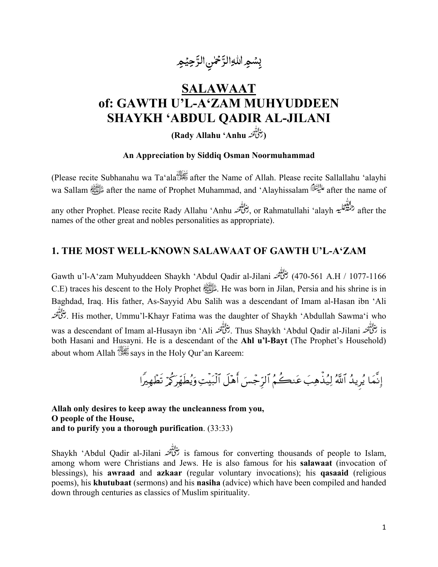

# **SALAWAAT** of: GAWTH U'L-A'ZAM MUHYUDDEEN **SHAYKH 'ABDUL QADIR AL-JILANI**

(تِخْلُقْنَهُ Rady Allahu 'Anhu)

#### An Appreciation by Siddiq Osman Noormuhammad

(Please recite Subhanahu wa Ta'ala<sup>33</sup> after the Name of Allah. Please recite Sallallahu 'alayhi after the name of Prophet Muhammad, and 'Alayhissalam هَلِيْلِنَّالُهُ after the name of Prophet Muhammad, and 'Alayhissalam any other Prophet. Please recite Rady Allahu 'Anhu تَرْاللُّهُ , or Rahmatullahi 'alayh حَمَّةٌ عَلَيهُ after the names of the other great and nobles personalities as appropriate).

### 1. THE MOST WELL-KNOWN SALAWAAT OF GAWTH U'L-A'ZAM

470-561 A.H / 1077-1166) رُحْمَاتُهُمْ Gawth u'l-A'zam Muhyuddeen Shaykh 'Abdul Qadir al-Jilani رُحْمَاتُهُمْ C.E) traces his descent to the Holy Prophet  $\frac{1}{100}$ . He was born in Jilan. Persia and his shrine is in Baghdad, Iraq. His father, As-Sayyid Abu Salih was a descendant of Imam al-Hasan ibn 'Ali His mother, Ummu'l-Khayr Fatima was the daughter of Shaykh 'Abdullah Sawma'i who حِنْاتِيْمْنه. is رَحْلُ تَعْبُدُ Thus Shaykh 'Abdul Qadir al-Jilani . رَحْلُ تَعْبُد Thus Shaykh 'Abdul Qadir al-Jilani . وتنكُّفنه both Hasani and Husayni. He is a descendant of the Ahl u'l-Bayt (The Prophet's Household) about whom Allah savs in the Holy Our'an Kareem:

إِنَّمَا يُرِيدُ ٱللَّهُ لِيُذِّهِبَ عَنكُمُ ٱلرِّجْسَ أَهْلَ ٱلْبَيْتِ وَيُطَهِّرَكُمْ تَطْهِيرًا

Allah only desires to keep away the uncleanness from you, O people of the House, and to purify you a thorough purification. (33:33)

s famous for converting thousands of people to Islam,  $\frac{1}{2}$  is famous for converting thousands of people to Islam, among whom were Christians and Jews. He is also famous for his salawaat (invocation of blessings), his awraad and azkaar (regular voluntary invocations); his qasaaid (religious poems), his khutubaat (sermons) and his nasiha (advice) which have been compiled and handed down through centuries as classics of Muslim spirituality.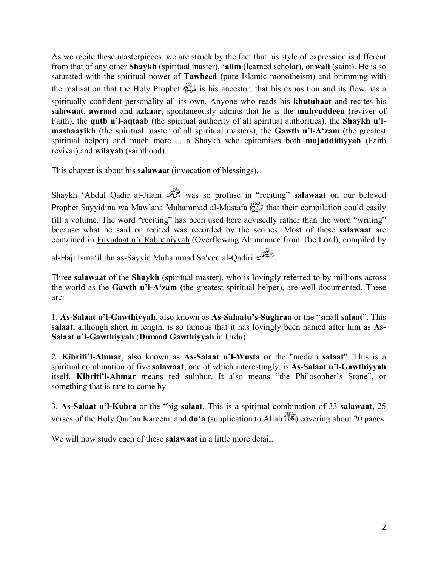As we recite these masterpieces, we are struck by the fact that his style of expression is different from that of any other **Shaykh** (spiritual master), **'alim** (learned scholar), or **wali** (saint). He is so saturated with the spiritual power of **Tawheed** (pure Islamic monotheism) and brimming with the realisation that the Holy Prophet  $\frac{1}{2}$  is his ancestor, that his exposition and its flow has a spiritually confident personality all its own. Anyone who reads his **khutubaat** and recites his **salawaat**, **awraad** and **azkaar**, spontaneously admits that he is the **muhyuddeen** (reviver of Faith), the **qutb u'l-aqtaab** (the spiritual authority of all spiritual authorities), the **Shaykh u'lmashaayikh** (the spiritual master of all spiritual masters), the **Gawth u'l-A'zam** (the greatest spiritual helper) and much more..... a Shaykh who epitomises both **mujaddidiyyah** (Faith revival) and **wilayah** (sainthood).

This chapter is about his **salawaat** (invocation of blessings).

Shaykh 'Abdul Qadir al-Jilani was so profuse in "reciting" **salawaat** on our beloved Prophet Sayyidina wa Mawlana Muhammad al-Mustafa صلى الله عليه وسلم that their compilation could easily fill a volume. The word "reciting" has been used here advisedly rather than the word "writing" because what he said or recited was recorded by the scribes. Most of these **salawaat** are contained in Fuyudaat u'r Rabbaniyyah (Overflowing Abundance from The Lord), compiled by

al-Hajj Isma'il ibn as-Sayyid Muhammad Sa'eed al-Qadiri .

Three **salawaat** of the **Shaykh** (spiritual master), who is lovingly referred to by millions across the world as the **Gawth u'l-A'zam** (the greatest spiritual helper), are well-documented. These are:

1. **As-Salaat u'l-Gawthiyyah**, also known as **As-Salaatu's-Sughraa** or the "small **salaat**". This **salaat**, although short in length, is so famous that it has lovingly been named after him as **As-Salaat u'l-Gawthiyyah** (**Durood Gawthiyyah** in Urdu).

2. **Kibriti'l-Ahmar**, also known as **As-Salaat u'l-Wusta** or the "median **salaat**". This is a spiritual combination of five **salawaat**, one of which interestingly, is **As-Salaat u'l-Gawthiyyah** itself. **Kibriti'l-Ahmar** means red sulphur. It also means "the Philosopher's Stone", or something that is rare to come by.

3. **As-Salaat u'l-Kubra** or the "big **salaat**. This is a spiritual combination of 33 **salawaat,** 25 verses of the Holy Qur'an Kareem, and **du'a** (supplication to Allah ) covering about 20 pages.

We will now study each of these **salawaat** in a little more detail.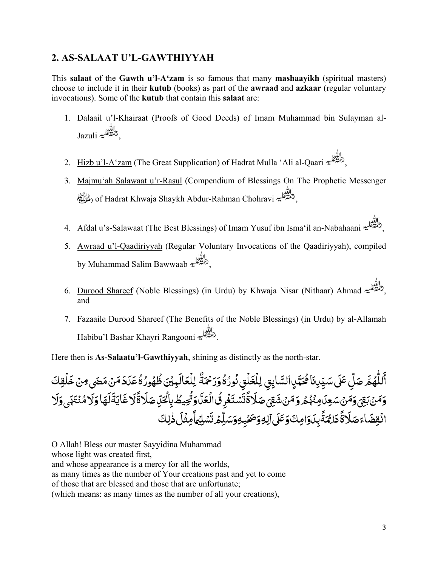## **2. AS-SALAAT U'L-GAWTHIYYAH**

This **salaat** of the **Gawth u'l-A'zam** is so famous that many **mashaayikh** (spiritual masters) choose to include it in their **kutub** (books) as part of the **awraad** and **azkaar** (regular voluntary invocations). Some of the **kutub** that contain this **salaat** are:

- 1. Dalaail u'l-Khairaat (Proofs of Good Deeds) of Imam Muhammad bin Sulayman al-Jazuli الثقابية
- 2. Hizb u'l-A'zam (The Great Supplication) of Hadrat Mulla 'Ali al-Qaari ,
- 3. Majmu'ah Salawaat u'r-Rasul (Compendium of Blessings On The Prophetic Messenger صلى الله عليه وسلم (of Hadrat Khwaja Shaykh Abdur-Rahman Chohravi ,
- 4. Afdal u's-Salawaat (The Best Blessings) of Imam Yusuf ibn Isma'il an-Nabahaani ,
- 5. Awraad u'l-Qaadiriyyah (Regular Voluntary Invocations of the Qaadiriyyah), compiled by Muhammad Salim Bawwaab ,
- 6. Durood Shareef (Noble Blessings) (in Urdu) by Khwaja Nisar (Nithaar) Ahmad , and
- 7. Fazaaile Durood Shareef (The Benefits of the Noble Blessings) (in Urdu) by al-Allamah Habibu'l Bashar Khayri Rangooni .

Here then is **As-Salaatu'l-Gawthiyyah**, shining as distinctly as the north-star.

أَللّٰهُمَّ صَلِّ عَلَى سَيِّدِنَا مُحَمَّدٍالسَّابِقِ لِلْغَلْقِ نُورُهُ وَرَحْمَةٌ لِلْعَالَمِيْنَ ظُهُورُهُ عَدَدَ مَنْ مَضَى مِنْ خَلْقِكَ **ُ** ֧֧֦֧֖֖֚֚֚֚֚֚֚֚֝֝<br>֧֖֧֧֖ׅ֧֧֖֧֚֚֚֚֚֚֚֚֚֚֚֚֚֚֚֚֚֚֚֚֚֚֝֝֝֟֓֝֬֝֬֝֬ ٍ َ ֧֧֦֧֦֧֦֧֧֦֧֦֧֦֧֦֧֧֧֦֧ׅ֧֦֧֝֟֓֓֝֓֝֓֓֜֓֓֜֓<br>֧֧֧֜֜ **∶** ֧֦֧֦֧֦֧֦֧֦֧֝<u>֘</u> ِ ؚ<br>ا **.** َ َ֧֧֧֦֧ׅ֧֦֧֧֦֧֧֦֧ׅ֧֦֧֧֧ׅ֧֛֛֧֛֧֧ׅ֧֧ׅ֧֧֧֧֝֟֓֓֝֟֓֓֜֓֓֜֓֜֓֜֓֓֜֓֜֜֓֜֜֜֓֜֜֓֜֓֜֓֜֜<br>֧֧֛֛֛֛֛֛֛֛֛֪֛֜֜֜֜֜֜֜֜֜֜֜ ؚ<br>ۣ ا<br>الماليات<br>الماليات **ـ ∶** ٔ ٌ ُ المستقبل المستقبل المستقبل المستقبل المستقبل المستقبل المستقبل المستقبل المستقبل المستقبل المستقبل المستقبل ال<br>والمستقبل المستقبل المستقبل المستقبل المستقبل المستقبل المستقبل المستقبل المستقبل المستقبل المستقبل المستقبل ا ا<br>أ َ **ا ृ** ُ ُ المباد<sup>ر</sup> المسلمات المسلمات المسلمات المسلمات المسلمات المسلمات المسلمات المسلمات المسلمات المسلمات المسلمات ال **ृ** ا<br>أ ا<br>أ َ ِ مُّهۡ وَمَنۡشَقِیَۚ صَلَاةَۚتَّسۡتَغۡرِ <u>ّ</u> **َ** ์<br>; ت ً **ृ** َ ׇَ֦֦֖֧֦֦֧֦֧֚֡֟֓֝֝֝֝֓֓<u>֦֝</u> وَمَنۡ بَقِىٓ وَمَنۡ سَعِدَ مِنۡهُمۡ وَمَنۡ شَقِىٓ صَلَاةً تَّسۡتَغۡرِقُالۡ قَاتِّصِيۡطَۙ بِالۡكَيِّ صَلَاةً لَا غَايَةَ لَهَا وَلَا مُنۡتَهَى وَلَا **ृ** ؚ<br>ا **ا** ُُ **ُ** ֧֧֦֧ׅ֧֖֚֚֚֚֝֜֓֓֝<br>֧֖֧֧֖֖֧֧֧ׅ֖֧֖֧֚֚֚֚֚֚֚֚֚֚֚֚֚֚֚֚֚֚֚֚֚֚֚֚֝֝֟֓֝֬֝֓֜֝֬ ْ َؚ<br>ۣ ์<br>. ؚ<br>م **ृ ّ** ؚ<br>֧֖֧֝֟֟֟֟֟֟֟֟֟֟֟֟֟֟֟֟֟֟֟֟֟֟֟֟<u>֟</u> ًَ **ृ ـ** َ ا<br>ا **ृ** انۡقِضَاءَصَلَاةَۚدَاعُٓنَةً بِدَوَامِكَوۡعَلَىۡ آلِهِوَصَحۡبِهِوَسَلِّمۡ تَسۡلِيۡهَاۚمِثۡلَ ذٰٰلِكَ **ृ** ֦֧֧֘֟֓֡֓֓<u>֓</u> ً ٰ**ृ** <u>:</u> **َ** ؚ<br>֡֓֟֓֟֓֟׆֧֧<br>֝ ت ֖֚֚֚֡<br>֧֝֟֩֕֝֟ **َ** ِ ٓ ََ**ृ** ֧֖֖ׅ֖֖֖֧֧֧ׅ֧֧ׅ֧֪ׅ֧֧֧֚֚֚֚֚֚֚֚֚֚֚֚֚֚֚֚֚֚֚֚֝֝֓֓֝֝֝֟֓֡֬֓֓֝֬֓֓֝֬֓֓֓֬֝֓֝֬֝֬֓֓֝֬֓֓֬֝֬֝֓֬֝֬֝֬֝֬ **ا ∶ ∶** 

O Allah! Bless our master Sayyidina Muhammad whose light was created first, and whose appearance is a mercy for all the worlds, as many times as the number of Your creations past and yet to come of those that are blessed and those that are unfortunate;

(which means: as many times as the number of all your creations),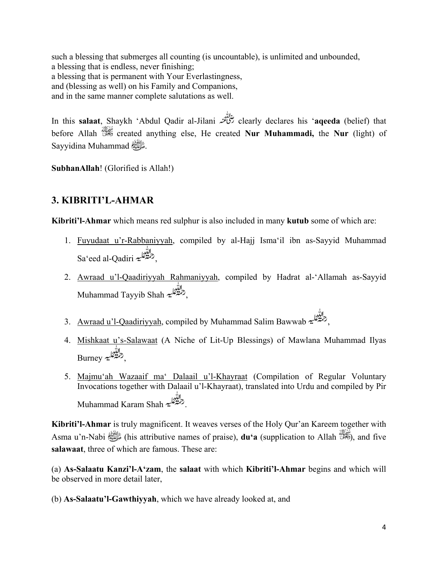such a blessing that submerges all counting (is uncountable), is unlimited and unbounded, a blessing that is endless, never finishing; a blessing that is permanent with Your Everlastingness, and (blessing as well) on his Family and Companions, and in the same manner complete salutations as well.

In this **salaat**, Shaykh 'Abdul Qadir al-Jilani clearly declares his '**aqeeda** (belief) that before Allah created anything else, He created **Nur Muhammadi,** the **Nur** (light) of Sayyidina Muhammad صلى الله عليه وسلم.

**SubhanAllah**! (Glorified is Allah!)

# **3. KIBRITI'L-AHMAR**

**Kibriti'l-Ahmar** which means red sulphur is also included in many **kutub** some of which are:

- 1. Fuyudaat u'r-Rabbaniyyah, compiled by al-Hajj Isma'il ibn as-Sayyid Muhammad Sa'eed al-Qadiri ,
- 2. Awraad u'l-Qaadiriyyah Rahmaniyyah, compiled by Hadrat al-'Allamah as-Sayyid Muhammad Tayyib Shah ,
- 3. Awraad u'l-Qaadiriyyah, compiled by Muhammad Salim Bawwab ,
- 4. Mishkaat u's-Salawaat (A Niche of Lit-Up Blessings) of Mawlana Muhammad Ilyas Burney التَّعلية
- 5. Majmu'ah Wazaaif ma' Dalaail u'l-Khayraat (Compilation of Regular Voluntary Invocations together with Dalaail u'l-Khayraat), translated into Urdu and compiled by Pir Muhammad Karam Shah .

**Kibriti'l-Ahmar** is truly magnificent. It weaves verses of the Holy Qur'an Kareem together with Asma u'n-Nabi صلى الله عليه وسلم) his attributive names of praise), **du'a** (supplication to Allah ), and five **salawaat**, three of which are famous. These are:

(a) **As-Salaatu Kanzi'l-A'zam**, the **salaat** with which **Kibriti'l-Ahmar** begins and which will be observed in more detail later,

(b) **As-Salaatu'l-Gawthiyyah**, which we have already looked at, and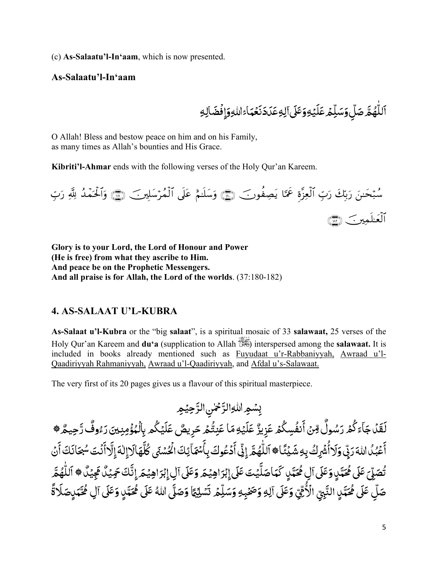(c) **As-Salaatu'l-In'aam**, which is now presented.

#### **As-Salaatu'l-In'aam**

**ـ** ٱللَّٰهُمَّ صَلِّ وَسَلِّمۡ عَلَيۡهِ وَعَلَىٰ آلِهِ عَدَدَنَعۡهَاۚۦَ اللّٰهِ وَإِفۡضَالِهِ י<br>י َ **ृ ا ृ** ِ ٓ **ृ** َ ֦֧֦֧֦֧֦֧֝֟֟֓<u>֦֖</u> **ـ** ؚ<br>ا ֧֦֧֦֧֦֧֦֧֦֧ׅ֝֜֓֓֝֬֝֬֝֬֝֬֝֬֝֬֝֬֝֬֝֬֝֬֝֬֝֬֝֬ اً<br>ا ّ ؚ<br>ۣ ا<br>الماليات<br>الماليات **ـ** 

O Allah! Bless and bestow peace on him and on his Family, as many times as Allah's bounties and His Grace.

**Kibriti'l-Ahmar** ends with the following verses of the Holy Qur'an Kareem.

سَبْحننَ رَبِّكَ رَبِّ الْعِزْةِ عَمَّا يُصِفُونَ\_ ﴿ وَسَلَنَّمُ عَلَى الْمَرْسَلِينَ\_ ﴿ ﴾ وَالْحَمْدُ لِلَّهِ رَبّ **State Advisers** à ¨ العلمينَ (

**Glory is to your Lord, the Lord of Honour and Power (He is free) from what they ascribe to Him. And peace be on the Prophetic Messengers. And all praise is for Allah, the Lord of the worlds**. (37:180-182)

#### **4. AS-SALAAT U'L-KUBRA**

**As-Salaat u'l-Kubra** or the "big **salaat**", is a spiritual mosaic of 33 **salawaat,** 25 verses of the Holy Qur'an Kareem and **du'a** (supplication to Allah ) interspersed among the **salawaat.** It is included in books already mentioned such as Fuyudaat u'r-Rabbaniyyah, Awraad u'l-Qaadiriyyah Rahmaniyyah, Awraad u'l-Qaadiriyyah, and Afdal u's-Salawaat.

The very first of its 20 pages gives us a flavour of this spiritual masterpiece.

<u>:</u> بِسْمِ اللَّهِالرَّ<sup>ح</sup>ْنِ الرَّحِيْمِ َ ֧֧֦֦֧֦֧֝֟֟֓֟֓֟֟֓֟֟֟֟֓֟֓֟֓֟֓֟֟֬֟֟֩֓֟֟֓֟֟֟֩֓ ֧֧֖֖֖֖֧֧ׅ֧֧֧ׅ֧֧֧ׅ֧֧֧֧֧ׅ֧֧ׅ֧ׅ֧֧֧֧֧ׅ֧֧ׅ֧֧֧֚֚֚֚֚֚֚֚֚֝֟֓֝֬֝֓֜֓֓֟֓֝֬֓֜֓֓֟֓֟֓֜֓֜֜֜֜֓֜֓֬֜֓֜֜֬֜֜֜֬֜ <u>:</u> ٓ لَقَلْ جَاءَكُمْ رَسُولٌ وِّنْ أَنفُسِكُمْ عَزِيزٌ عَلَيْهِ مَا عَنِتُّمۡ حَرِيصٌ عَلَيۡكُم بِالۡهُؤۡمِنِينَ رَءُوفٌ رَّحِيمٌ ﴾ َ <u>:</u> َ **ृ** .<br>أ ُ ٌ َ ֧֧֧֧֧֧֦֧֧֧֧֝֟֟֓֝֟֟֟֓֝֟֟֓֜֜֟֓֟֓֟֟֓֟֟֟֓֟֟֟֟֓<br>֧ׅ֧֜֜֜ ٌ <u>ٔ</u> ؚ<br>֡֟ ً<br>ا **ृ** َ ់<br>ខែ ِ<br>ا ֧֖֖֖ׅ֧֦֧ׅ֧֧ׅ֧֧ׅ֧֦֧ׅ֧֧ׅ֧֧ׅ֧֧ׅ֧֧֧֧֧֚֚֚֚֚֚֚֚֚֚֚֚֚֝֝֓֓֜֓֓֝֬֜֓֓֝֬֓֜֓֓֝֬֜֓֓֝֬֜֓֝֬֜֓֝֬֜֓֝֬֜֝֬ َ ؚ<br>; **ृ** َ ٌ َ ً<br>ُ  $\ddot{\phantom{0}}$ **∶** ٔ ٌ∫<br>∫ أَعْبُدُ اللّهَ رَبِّي وَلَاأُشۡرِكُ بِهِ شَيۡئَا۞ ٱللّٰهُمَّ إِنِّى أَدۡعُوكَ بِأَسۡمَآئِكَ الۡحُسۡنَى كُلَّهَالَاإِلٰهَ إِلَّا أَنۡتَ ً ؚ<br>֧֦֖֧֝֟֟֟֟֓֟֓֟֓֟֓֟֓֟֓֟֘֝֬֝֟֓֟<u>֟</u> َ ؚ<br>ۣ ់<br>៖ ُ ٔ َ **ـ ृ** ់<br>៖ **∶ ृ** ا<br>المنابعة ֧֦֧֦֧֦֧֦֧֦֧ׅ֧ׅ֧ׅ֧ׅ֧֜֓֜֓֜֓֜֓<br>֧֚֚֝֝ َٔ **∶ ٔ ∶** ٔ ֧֧֖֖֖֧֧ׅ֧֧ׅ֧֧ׅ֧֧ׅ֧ׅ֧ׅ֧֪ׅ֧֚֚֚֚֚֚֚֚֚֚֚֚֚֚֚֚֚֝֟֓֝֝֓֝֬֓֝֬֜֓֝֬֜֓֝֬֜֜֜֓֓ ِ ֧֧֦֧֦֧֦֧֦֧֝֟֟֓֜*֛* ֧֧֧֦֧֦֧ׅ֧֦֧֧֦֧֧֦֧ׅ֧֦֧֝֟֓֝֟֓֓֜֓֓֜֓֜֓֜֓<br>֧֧֝֩׆ ُ ٓ**∶** ٔ ا<br>ا ֧֧֧֧֧֦֧֧֓֓֓֓֓֓֓֓֓֓֓֓֓֓֓֓֓֓֓֓֓<u>֓</u> ِ َ ٰ ِ َ َ بر<br>پا ؚ<br>ٔ ئِكَ الْحُسْنَى كُلَّهَالَاإِلٰهَ إِلَّاأَنْتَ سُجَانَكَ أَنْ ֦֧֧֦֧֦֧֦֧֦֧֦֧ׅ֧֦֧֧֦֧֦֧֧֧ׅ֧֧֧֧ׅ֧֧֧֧֟֟֓֝֝֝֜֓֝֬֝֬֓֝֬֜֓֓֓֓֜֓֝֬<br>֧֪֧֝<u>֘</u> **∶ ∶ ∶** ٔ ْ حَمَّنٍ كَمَاصَلَّيۡتَ عَلَى إِبۡرَاهِيۡمَ وَعَلَى آلِ إِبۡرَاهِيۡمَ إِنَّكَ حَمِيۡ َ ََ ֧֧֖֖֖֖֚֚֚֚֚֚֚֚֚֝֟֓֝֬<br>֧֖֖֖֖֖֧֧֧֧֧ׅ֧֧ׅ֧֧֖֧֧֚֚֚֚֚֚֚֚֚֚֚֚֚֚֚֚֚֚֚֚֚֚֚֚֚֚֝֩֓֟֓֟֓֜֝֬֩֝֬֝֬֝֬֝ ِ َِ ٓ َِ ا<br>ا ֧֧֧֧֦֧֧֧֦֧֧֝֟֟֓֝֟֟֓֓֝֟֓֜֜֓֜<br>֧֧֝֜֜֝ َ ٍ َ ֧֧֖֖֖֧֧֦֧ׅ֧֧ׅ֧֦֧֧ׅ֧ׅ֧ׅ֧֧֧ׅ֧֚֚֚֚֚֚֚֚֚֚֚֝֝֝֓֜֓֓֜֓֓֜֜֓֓֜֓֓֜֓֓֜֜֓ تُصَلِّ عَلَى مُحَمَّنٍ وَعَلَى آلٍ مُحَمَّنٍ كَمَاصَلَّيْتَ عَلَى إِبْرَاهِيْمَ وَعَلَى آلِ إِبْرَاهِيْمَ إِنَّكَ حَمِيْلٌ هِجَيْلٌ ﴾ اَللَّهُمَّ ٓ ٍ َ ֧֧֧֦֧֧֦֧֦֧֦֧֦֧֦֝֟֓֓֝֟֓֓֝֓֓֓֓**֓ ـ** َ ُ ٌ َ ֧֧֦֧֦֧֦֧֦֧֝֟֟֓֜*֛* ֧֧֧֦֧֦֧ׅ֧֦֧֧֦֧֧֦֧ׅ֧֦֧֝֟֓֝֟֓֓֜֓֓֜֓֜֓֜֓<br>֧֧֝֩׆ ُ ֧֧֦֦֧֦֧֦֦֧֧֦֧ׅ֧֦֧֧֧֧֦֧֧֧֧֦֧֧֧֧֧֧֧ׅ֧֧֧֧֧֧֧֧֧֚֚֚֚֚֚֚֚֚֚֚֚֝֝֝֓֕֓֡֝֓֓֝֓֡֝֓֝֬֝֓֜֓֓֝֬֝֓֝֓֝֬֝֓֝֬֝֓֝֬֝֬֝֬ ֧֦֧֦֧֦֧֦֧֦֧ׅ֖֧֚֝֜֓֝֬<u>֚</u> <u>:</u> ِلي ًْ س م ِل َس ِ ِه و ب َْ َصح لِه و َޱ ََ ا ّ و ِمي َ ់<br>៖ ت ֧֖֖֚֚֚֝<br>֧֚֚֚֝ ؚ<br>ا ِ ٓ ِ ֧֖֖֧֦֧֦֧֦֧֦֧ׅ֧֦֧ׅ֧֦֧ׅ֧֧ׅ֧֧ׅ֧֧ׅ֧֧֧ׅ֧֧֚֚֚֚֚֚֚֚֚֚֚֚֚֚֚֝֝֝֝֜֓֝֬֜֓֝֬֜֓֝֬֜֓֝֬֜֓֝֬֜֓֝֬֝֬֜֝֬֝ ا<br>ا *ٌٔ*<br>پم صَلِّ عَلَى مُحَمَّدٍ النَّبِيِّ الْأُمِّيِّ وَعَلَى آلِهِ وَصَخِبِهِ وَسَلِّمۡ تَسۡلِيۡمَٓا وَصَلَّى اللّٰهُ عَلَى مُحَمَّدٍ وَعَلَى آلِ مُحَّمَدٍ مَلَاةً ֧֦֧֦֧֦֧֦֧֦֧ׅ֖֧֚֝֜֓֝֬<u>֚</u> ֝֟֟֓֟֓֟֟֟֟֡֡֟֟֟֟֟֟֟֟֟֟֡֟֟֟֡֟֟֟֡֟֟֟֡֬ ֧֖֖֧֧֦֧ׅ֧֧ׅ֧֧ׅ֧ׅ֧֧֧֧֧ׅ֧֧ׅ֧֧֧֧֧֧֧֧֧֧֧֧֚֚֚֚֚֚֚֚֚֚֚֚֚֚֚֚֝֝֓֜֓֓֝֬֜֓֓֝֬֜֓֓֜֓֓֝֬֜֓֜֓֝֬֜֓֜֝֬֜֜<br>֧֧֧֧֪֛֧֛֧֛֪֧֪֧֚֚֝֜֜֜֜֜ ٍ **ُ** ֧֧֖֖֖֧֧֧֦֧ׅ֧֧֧ׅ֧֧֧֧ׅ֧֧ׅ֧֧֧֧֚֚֚֚֚֚֚֚֚֚֚֚֚֚֚֚֚֚֚֚֝֝֝֓֝֓֝֬֜֓֓֝֓֓֜֓֓֝֬֜֓֜֓֝֬֜֓֝֬֜֝֬ ֧֦֧֦֧֦֧֦֧֦֧ׅ֖֧֚֝֜֓֝֬<u>֚</u> ً **ृ** ٍ **َ** ا<br>ا وَصَلَّى اللهُ عَلَى هُحَمَّدٍ وَعَلَى آلِ هُوَّ ٓ ٍ **ُ** ֧֖֖֧֧֧֧ׅ֧֦֧ׅ֧֧ׅ֧֧֧֧֧ׅ֧֧ׅ֧֧֧֧֧֧֚֚֚֚֚֚֚֚֚֚֚֚֚֚֚֚֚֝֝֓֝֓֓֜֓֓֝֬֜֓֓֝֓֜֓֓֝֬֜֓֜֓֜֓֝֬֜֜֝֬ ُ֖֦֧֦֧֦֚֝֟֓֟֓֓֝֬֝֬֓֓֓֝֬֓֓֝֬֓֓**֓** ّ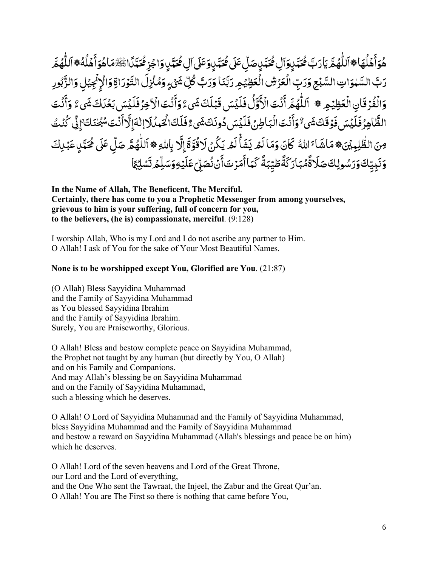ۿؘۅؘٲٙۿڶؙۿؘٵۿٲڶڷ۠ۿؗڿۜٞ؞ؾٳؘڗٮڣۜٷۘؾۜڛۣۅٙٲڸ؋ۘؗؾڛڝٙڷۣػؘٙڸ؋ۘػؾۜڛۣۅؘػٙڸٲڸ؋ۘ۫ػؾۧڛۣ **َ** ِّ بِ ا<br>الماليات<br>الماليات َ ٔ **ृ ـ** ا<br>ا ֦֦֦֧֦֧֝֟֟֓֟֓֟֓֟֓֡֡֟֟֓֡֟֟֟֟֡֟֟֟֡֟֟֟֡֟֟֟֡֟֟֟֓֟֩֓ ֧֧֧֧֧֦֧ׅ֧ׅ֧֧ׅ֧֧ׅ֧ׅ֧֧֧֧ׅ֧֧֧֚֚֚֚֚֚֚֚֚֚֚֚֚֚֚֚֝֝֓֝֓֝֬֓֝֓֝֬֜֓֓֝֬֜֓֓֝֬֜֓֝֬֜֓֜֓֝֬֝֬֝֬֜֓֝֬֝֬֝ **ُ** ֧֖֧֧֧ׅ֧֧ׅ֧֦֧ׅ֧֧ׅ֧֧֧ׅ֧֚֚֚֚֚֚֚֚֚֚֚֚֚֚֚֝֝֓֝֓֜֓֓֜֓֓֜֓֓֝֬֜֓֓֝֬֜֜֓ <sub></sub><br>مَّيِّنٍ صَلِّ عَلَى مُحَيَّنٍ وَعَلَى آلِ مُحَ ٓ ٍ ا<br>ا ֧֧֖֚֚֝֟֓֓֝<br>֧֧֧֧֧֧ׅ֧֧֚֚֚֚֚֚֚֚֚֚֚֚֚֚֚֚֚֚֚֚֚֚֚֚֚֝֝֝֓֝֬֝֟֓֝֬֜֓֝֬ ֧֦֧֦֧֦֧֦֧ׅ֖֚֚֝֜֓֝֬<br>֧֚֚֝ َ ٍ ا<br>ا ֧֧֦֧֦֧֦֧֦֧ׅ֧֦֧ׅ֧֦֧ׅ֧֦֧ׅ֧֦֧ׅ֧֧֧֧֧֝֟֓֓֝֜֓֓֜֓֓֜֓֓֜֓֜֓֓֜֓֜֜<br>֧֧֧֖֧֧֖֧ׅ֧ׅ֛֚֚֚֚֚֚֚֚֚֚֚֚֚֚֝֬֝֝֬֝֝֬֜֓֜ مُحَمَّدٍوَآلِ مُحَمَّدٍ صَلِّ عَلَى مُحَمَّدٍ وَعَلَى آلِ مُحَمَّدٍ وَاجْزِ مُحَمَّدًا ٓ َ ٍ **ُ** ֧֧֖֖֖֧֧ׅ֧֧֧֦֧ׅ֧֧ׅ֧֧֧֧֧ׅ֧ׅ֧֚֚֚֚֚֚֚֚֚֚֚֚֚֚֝֝֝֓֜֓֓֝֓֝֬֜֓֓֝֬֜֓֓֝֬֜֓֜֓֜֓ ًَ ֧֧֚֝֟֓֝<br>֧֚֚֚֚֚֚֚֚֚֚֚֚֚֚֚֚֚֚֚֚֚֚֚֚֝֝<br>֧֧֝֟֓ ۣوَاجۡزِ مُحَمَّدًاۚ ﷺَمَاهُوَأَهۡلُهُ﴾ ٱللَّٰهُمَّ ُ ِ بِمَا يَسْتَقِيمَ بِمَا يَسْتَقِيمَ بِمَا يَسْتَقِيمَ بِمَا يَسْتَقِيمَ بِمَا يَسْتَقِيمَ بِمَا يَسْتَقِيمَ ب .<br>ا **∶** ٔ ا<br>ا ֧֧֦֧֦֧֦֧֦֧֝֟֟֓֜*֛* ֧֧֧֦֧ׅ֧֦֧֧֦֧ׅ֧֦֧ׅ֧֦֧֧ׅ֧֦֧֝֟֓֓֝֟֓֓֜֓֓֜֓֜֓֜֓֜֜֓<br>֧֧֝֩׆ ُ ֧֦֧֦֧֦֧֦֧֦֧ׅ֖֧֚֝֜֓֝֬<u>֚</u> **ृ** رَبَّ السَّهْوَاتِ السَّبۡعِ وَرَبِّ الۡعَزۡشِ الۡعَظِيَٰجِ رَبَّنَا وَرَبَّ كُلِّ شَىۡءٍ وَمُنۡزِلَ التَّوۡرَاةِ وَالۡإِنۡجِيۡلِ وَالزَّبُورِ ؚ<br>֖֡֟֟֓֟֓֟֓֟֓֟֓֟֓֟֓֟֓֟֓֟֬֟֓֟֓֟֓֟֓֟֓֟֬֟֩ َ֧֧֦֧֧֦֧֦֧֦֧֦֧֦֧ׅ֧֦֧֝֟֟֓֝֟֟֜֓֝֬֟֜֓֟֜֓֜֓<br>֧֧֝֩֩֕ ََ֧֧֦֧֧֦֧֦֧֦֧֦֧֦֧ׅ֧֦֧֝֟֟֓֝֟֟֜֓֝֬֟֜֓֟֜֓֜֓<br>֧֧֝֩֩֕ ا<br>ا ؚ<br>ۣ ֧֧֧֧֧֓֓֓֓֓֓֓֓<u>֓</u> <u>:</u> ֦֘<u>֓</u> ِ ْ **ृ** َ ّ **ृ** ْ ֚֘֝<br>֧֖֚֚֚֚֝֝֝֝֝֝֝ ِ َ**ا** َ ֧֧֦֧֧֦֧֧֦֧֦֧֦֧֝֟֓֝֟֓֓֝֬֟֓֓<br>֧ׅ֧֚֝֩֝ **ृ** <u>:</u> **َ** :<br>:<br>: َ ؚ<br>ׇ֖֧֦֦֧֦֡֟֟֓֟֝֟֟֟֟֟֟֟֟֟֟֟֟֟֟֟֟֬֟֟֓֟֡֟֟֟֟֡֬֟֩֟֩֕֟ <u>:</u> وَالۡفُرۡ قَانِ الۡعَظِيۡهِ ﴾ ٱللّٰهُمَّ أَنۡتَ الۡأَوَّلُ فَلَيۡسَ قَبۡلَكَ شَىءٌ وَأَنۡتَ الۡأَخِرُ فَلَيۡسَ بَعۡدَاكَ شَىءٌ وَأَنۡتَ َ ֦֧֧֟֟֓֓<u>֕</u> ֧֦֧֦֧֦֧֦֧֦֧֦֧֝֜*֟*  $\ddot{\phantom{a}}$ ֦֧֧֟֟֓֓<u>֕</u> **∶** ٔ َ َ**ृ** َ **ृ** َ وَّلُ فَلَيْسَ قَبَلَكَ شَىءٌ وَأَنُتَ الْآ **∶** ٔ َ ََ **ृ** ֧֝֟֟֟֟֟֟֟֟֟֟֟֟֟֟֟֟֟֟֟֟֟֟֟֡֡֬ ِّ بِ ֧֝֟֓֟֓֟֓֟׆<br>֧֧֧֓ َ للَّهُمَّ أَنۡتَ الۡأَ **∶** ٔ ֝֟֟֟֓֟֓֟֡֟֟֟֟֟֓֟֡֟֟֟֡֟֟֟֡֟֟֟֡֟֟֟֡֬ ֧֧֧֦֧ׅ֧֧ׅ֧ׅ֧֧ׅ֧֧ׅ֧֧ׅ֧֧ׅ֧֧֧ׅ֧֚֚֚֚֚֚֚֚֚֚֚֚֚֝֝֓֕֓֝֓֜֓֓֝֬֜֓֜֓֓֝֬֜֓֓֝֬֜֓֝֬֜֓֝֬֜֓֝֬֝֬֜ ؚ<br>ۣ ا<br>المناخ **ـ** َفَرَقَانِ الْعَظِيْمِ ۞ ١<br>يَا وَجَزَءَ جَدَيْدَةَ جَ ֧֧֦֧֦֧֦֧֦֧ׅ֧֦֧֧ׅ֧֦֧ׅ֧֦֧ׅ֧֦֧ׅ֧֧֧ׅ֧֧֝֟֟֓֜֓֜֜֓֜֓֜֓֜֓֜֜֜֓֜<br>֧֪֧֪֪֧֖֖֧֧֧֧ׅ֧֧֚֚֚֚֚֚֚֚֚֚֝֝֝֝֬֝֝֬֜֓֝֬ **∶** الظَّاهِرُفَلَيۡسَ فَوۡقَكَ شَىءٌ وَأَنۡتَ الۡبَاطِنُ فَلَيۡسَ دُونَكَ شَىءٌ فَلَكَ الۡحَمْدُلَا إِلَٰهَ إِلَّا أَنۡتَ سُبۡطَٰنَكَ ۚ إِنِّی كُنۡتُ ا<br>ا ٔ .<br>نا ֧֧֦֧֦֧֦֧֦֧ׅ֧֧֧֧֦֧֧֧֧֧֧֦֧֚֝֜֓֓֓֓֓֜֓֓֓֓֓֜**֓** ِ َ ا<br>ا َ ِ بِمَا يَسْتَقِيمَ بِمَا يَسْتَقِيمَ بِمَا يَسْتَقِيمَ بِمَا يَسْتَقِيمَ بِمَا يَسْتَقِيمَ بِمَا يَسْتَقِيمَ ب <u>:</u> **∶** َ ٌ **∶ ृ** ֺ<u>֓</u> َْ **∶** ٔ َ ٌ ََ ّ َ ُ ֧֧֦֧֦֧֦֧ׅ֧֪֪֦֧ׅ֧֧ׅ֧֧ׅ֧ׅ֧ׅ֧ׅ֧֛֪֪֪֪֪֪֪֪֪֪֪֪֪֪֪֪֪֪֪֪֪֪֪֪֪֪֪֚֚֚֝֟֟֓֝֜֝֬֝֟֜֜֝֬֜֝֬֜֓֜֜֓֜֜֝ ِ صَ الظُّلِمِيْنَ، مَاشَاءَ اللهُ كَانَ وَمَا لَمْ يَشَأْكَمْ يَكُنْ لَاقُوَّةَ إِلَّا بِاللهِ، اَللّٰهُمَّ صَلِّ عَلَى مُحَمَّدٍ عَبْدِكَ ֧<u>֚֓</u>ׅׅ֧ׅׅ֧ׅ֧ׅׅ֧ׅ֧ׅ֧ׅ֧ׅ֧ׅ֧ׅ֧ׅ֧ׅ֧֚֚֚֚֚֚֚֚֚֚֚֚֚֚֚֚֚֚֚֚֚֚֟֘֡֘֝֝֝֝ ֧֖֖֦֦֦֦֦֦֖֧֦֖֧֧֧֦֧֪ׅ֧֧֧֚֚֚֚֚֚֚֚֝֝֝֝֝֝֝֬֝֝֬֝֟֓֝֬֝֓֝֬֝֓֝֬֓֝֬֝֬֝ **ُ** ّ ِ َ َ ֧֧֦֧֦֧֦֧֦֧֧֦֧֦֧֦֧֦֧֦֝֟֓֓֓֓֜֓֓֓**֓** ا<br>ا ًَ<br>ُ **ृ** .<br>أ ٔ ֧֦֦֧֦֦֚֚֝֝֝֝**֓ ृ ृ** ؚ<br>; ؚ<br>֧֧֝֟֟֟֟֟֟֟֟֟֟֟֟֟֟֟֟֟֟֟֟֟֟֟֟֟֬֝֬<sup>֟</sup> ؚ<br>; ُ ََا<br>الماليات<br>الماليات **ـ** َ<u>ّ</u> َ ٍ َ ֧֧֦֧֦֧֦֧ׅ֧֦֧ׅ֧֦֧֧֧ׅ֧֦֧ׅ֧֧ׅ֧֚֚֝֝֜֓֓֜֓֓֜֓֓֜֓֓֜֓֓֜֓֓ **ـ** َ َ֧֧֧֦֧ׅ֧֦֧֧֦֧֧֦֧ׅ֧֦֧֧ׅ֧֦֧֧ׅ֧֛֧֧֛֛֛֛֛֧ׅ֧֧֧֧ׅ֧֧֧֝֟֓֓֝֟֓֓֜֓֓֜֓֜֓֜֓֜֜֓֜֜֓֜֜֓֜֜֜֜֜֓֬֜֓֜֜֓ ؚ<br>ۣ <u>:</u> وَنَدِيِّكَوَرَسُولِكَ صَلَاةًۚمُبَارَكَةًۤطَيِّبَةً كَمَاأَمَرۡتَٱنۡنُوۡسَلِّىۤعَلَيۡوَسَلِّمۡ تَسۡلِيۡعَٓا **َ** <u>ّ</u> ت **ـ ่** َ َ **ـ** َ ُ ؚ<br>֪֪֪֡֟֓֟֓֟֓֟֓֬֟֓֟֓֬֝֓֟֓֝֬֝֬֝֟֓֝֬֝֟֝֬֝֟֝֬֝ **∶** ٔ ََ ٔ َ ً ֧֖֖֖֖֖֖֚֚֚֚֚֚֚֚֚֚֚֚֚֝֝֝֝֝֬֝֓֕<u>֚</u> َ**:** َ ∫<br>∕ ً **ृ ∶** ؚ<br>ۣ ֺ<u>֓</u> ֧֦֧֦֧֦֧֦֧֦֧ׅ֧֦֧ׅ֧֦֧֜֓֓֜֓֓֜**֦ ا** ا<br>ا

ا<br>المناخ

**In the Name of Allah, The Beneficent, The Merciful. Certainly, there has come to you a Prophetic Messenger from among yourselves, grievous to him is your suffering, full of concern for you, to the believers, (he is) compassionate, merciful**. (9:128)

I worship Allah, Who is my Lord and I do not ascribe any partner to Him. O Allah! I ask of You for the sake of Your Most Beautiful Names.

#### **None is to be worshipped except You, Glorified are You**. (21:87)

(O Allah) Bless Sayyidina Muhammad and the Family of Sayyidina Muhammad as You blessed Sayyidina Ibrahim and the Family of Sayyidina Ibrahim. Surely, You are Praiseworthy, Glorious.

֧֧֦֦֧֦֧֦֦֧֧֦֧ׅ֧֦֧֧֧֧֦֧֧֧֧֦֧֧֧֧֧֧֧ׅ֧֧֧֧֧֧֧֧֧֚֚֚֚֚֚֚֚֚֚֚֚֝֝֝֓֕֓֡֝֓֓֝֓֡֝֓֝֬֝֓֜֓֓֝֬֝֓֝֓֝֬֝֓֝֬֝֓֝֬֝֬֝֬

O Allah! Bless and bestow complete peace on Sayyidina Muhammad, the Prophet not taught by any human (but directly by You, O Allah) and on his Family and Companions. And may Allah's blessing be on Sayyidina Muhammad and on the Family of Sayyidina Muhammad, such a blessing which he deserves.

O Allah! O Lord of Sayyidina Muhammad and the Family of Sayyidina Muhammad, bless Sayyidina Muhammad and the Family of Sayyidina Muhammad and bestow a reward on Sayyidina Muhammad (Allah's blessings and peace be on him) which he deserves.

O Allah! Lord of the seven heavens and Lord of the Great Throne, our Lord and the Lord of everything, and the One Who sent the Tawraat, the Injeel, the Zabur and the Great Qur'an. O Allah! You are The First so there is nothing that came before You,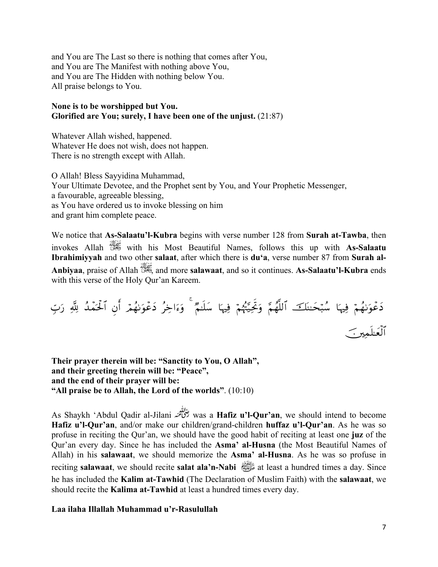and You are The Last so there is nothing that comes after You, and You are The Manifest with nothing above You, and You are The Hidden with nothing below You. All praise belongs to You.

#### None is to be worshipped but You. Glorified are You; surely, I have been one of the unjust. (21:87)

Whatever Allah wished, happened. Whatever He does not wish, does not happen. There is no strength except with Allah.

O Allah! Bless Sayyidina Muhammad, Your Ultimate Devotee, and the Prophet sent by You, and Your Prophetic Messenger, a favourable, agreeable blessing, as You have ordered us to invoke blessing on him and grant him complete peace.

We notice that As-Salaatu'l-Kubra begins with verse number 128 from Surah at-Tawba, then invokes Allah with his Most Beautiful Names, follows this up with As-Salaatu **Ibrahimiyyah** and two other salaat, after which there is du'a, verse number 87 from Surah al-Anbivaa. praise of Allah 3. and more salawaat, and so it continues. As-Salaatu'l-Kubra ends with this verse of the Holy Qur'an Kareem.

Their prayer therein will be: "Sanctity to You, O Allah", and their greeting therein will be: "Peace", and the end of their prayer will be: "All praise be to Allah, the Lord of the worlds". (10:10)

As Shaykh 'Abdul Qadir al-Jilani يُخْلِقْنِهُ was a **Hafiz u'l-Qur'an**, we should intend to become Hafiz u'l-Qur'an, and/or make our children/grand-children huffaz u'l-Qur'an. As he was so profuse in reciting the Qur'an, we should have the good habit of reciting at least one juz of the Qur'an every day. Since he has included the Asma' al-Husna (the Most Beautiful Names of Allah) in his salawaat, we should memorize the Asma' al-Husna. As he was so profuse in reciting **salawaat**, we should recite **salat ala'n-Nabi**  $\frac{d}{dx}$  at least a hundred times a day. Since he has included the Kalim at-Tawhid (The Declaration of Muslim Faith) with the salawaat, we should recite the **Kalima at-Tawhid** at least a hundred times every day.

#### Laa ilaha Illallah Muhammad u'r-Rasulullah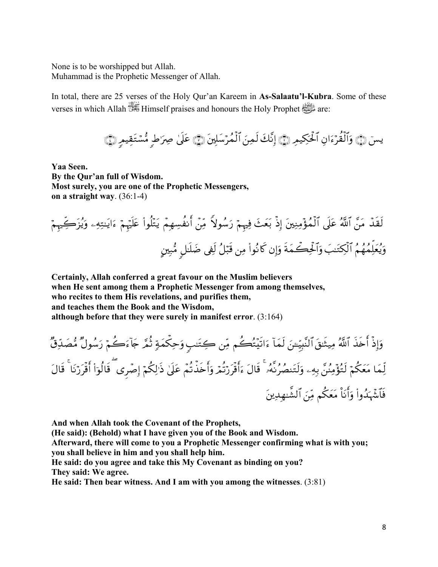None is to be worshipped but Allah. Muhammad is the Prophetic Messenger of Allah.

In total, there are 25 verses of the Holy Qur'an Kareem in As-Salaatu'l-Kubra. Some of these verses in which Allah was Himself praises and honours the Holy Prophet are:

يسَ ﴿ وَٱلْقُرْءَانِ ٱلْحَكِيمِ ﴾ إِنَّكَ لَمِنَ ٱلْمُرْسَلِينَ ﴾ عَلَىٰ صِرَاطٍ مُّسْتَقِيمِ ﴾

Yaa Seen. By the Qur'an full of Wisdom. Most surely, you are one of the Prophetic Messengers, on a straight way.  $(36:1-4)$ 

لَقَدْ مَنَّ ٱللَّهُ عَلَى ٱلْمُؤْمِنِينَ إِذْ بَعَثَ فِيهِمْ رَسُولاً مِّنْ أَنفُسِهِمْ يَتْلُواْ عَلَيْهِمْ ءَايَتِهِء وَيُزَكِّيهِمْ وَيُعَلِّمُهُمُ ٱلْكِتَنبَ وَٱلْحِكْمَةَ وَإِن كَانُواْ مِن قَبَلُ لَفِي ضَلَٰلٍ مُّبِينٍ

Certainly, Allah conferred a great favour on the Muslim believers when He sent among them a Prophetic Messenger from among themselves, who recites to them His revelations, and purifies them, and teaches them the Book and the Wisdom, although before that they were surely in manifest error.  $(3.164)$ 

وَإِذْ أَخَذَ ٱللَّهُ مِيتَـٰقَٱلنَّبِيِّــَنَ لَمَآ ءَاتَيۡتُكُم مِّن كِتَـٰبِ وَحِكۡمَةٍ ثُمَّ جَآءَكُمۡ رَسُولٌ مُّصَدِّقٌّ لِّمَا مَعَكُمۡ لَتُؤۡمِنُنَّ بِهِۦ وَلَتَنصُرُنَّهُۥ ۚ قَالَ ءَأَقَرَرۡتُمۡ وَأَخَذۡنُمۡ عَلَىٰ ذَٰلِكُمۡ إِصۡرِى ۖ قَالُوٓاْ أَقۡرَرۡنَا ۚ قَالَ فَٱشۡهَٰذُوا۟ وَأَنَا۠ مَعَكُم مِّنَ ٱلشَّـٰهِدِينَ

And when Allah took the Covenant of the Prophets,

(He said): (Behold) what I have given you of the Book and Wisdom.

Afterward, there will come to you a Prophetic Messenger confirming what is with you; you shall believe in him and you shall help him.

He said: do you agree and take this My Covenant as binding on you? They said: We agree.

He said: Then bear witness. And I am with you among the witnesses.  $(3.81)$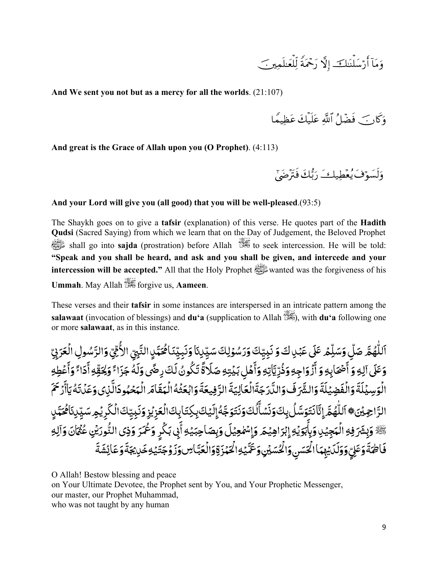š ⎥⎫Ïϑn=≈yèù=Ïj9 Z πtΗôqy' ωÎ) š^≈oΨù=y™ö'r& !\$tΒuρ

**And We sent you not but as a mercy for all the worlds**. (21:107)

وَكَارَكَ فَضَلَّ اللَّهِ عَلَيْكَ عَظِيمًا

**And great is the Grace of Allah upon you (O Prophet)**. (4:113)

*.* وَلْسُوَّفْ يُعْطِيكْ رَبَّكَ فَتَرْضَىٰ ã

#### **And your Lord will give you (all good) that you will be well-pleased**.(93:5)

The Shaykh goes on to give a **tafsir** (explanation) of this verse. He quotes part of the **Hadith Qudsi** (Sacred Saying) from which we learn that on the Day of Judgement, the Beloved Prophet صلى الله عليه وسلم shall go into **sajda** (prostration) before Allah to seek intercession. He will be told: **"Speak and you shall be heard, and ask and you shall be given, and intercede and your intercession will be accepted."** All that the Holy Prophet **Supplemental** was the forgiveness of his **Ummah**. May Allah forgive us, **Aameen**.

These verses and their **tafsir** in some instances are interspersed in an intricate pattern among the **salawaat** (invocation of blessings) and **du'a** (supplication to Allah ), with **du'a** following one or more **salawaat**, as in this instance.

<u>:</u> اَللّٰهُمَّ صَلِّ وَسَلِّمۡ عَلَى عَبۡلِكَ وَنَبِيِّكَ وَرَسُوۡلِكَ سَيِّلِنَاۚ وَنَبِيِّنَا هُمَيَّلٍ النَّبِيِّ الأُمِّيِّ وَالرَّسُولِ الْعَرَبِيِّ َ ْ֧֦֧֦֧֦֧֦֧֦֧ׅ֖֧֚֝֜֓֝֬<u>֚</u> ؚ<br>ا **ـ** َ َ֧֧֧֦֧ׅ֧֦֧֧֦֧֧֦֧ׅ֧֦֧֧ׅ֧֦֧֧֛֧֛֧֛֛֛֛֛֛֛֛֛֛֛֧ׅ֧֧֝֟֟֓֓֝֟֓֓֜֓֓֜֓֜֓֜֓֜֜֓֜֜֜֓֜֜֜֜֜֜֜֜֜֜֜֜֓ ؚ<br>ۣ ا<br>الماليات<br>الماليات **ـ** َِ <u>ّ</u> ِّ ِ **∶ ֝ ا** َ֧֝֟֟֓֟֓֟֟֜֜֜֜֜֝֟֓֟֓֟֟֓֟׆<br>֧֧ َؚ<br>֡֟ ِّ بِمِنْ أَيُّةٍ بِمِنْ أَيُّةٍ بِمِنْ أَيُّةٍ بِمِنْ أَيُّةٍ بِمِنْ أَيُّةٍ بِمِنْ أَيُّةٍ بِمِنْ أَيُّةٍ بِ ّ ِ ֧֖֦֧ׅ֧֧֚֚֚֚֚֚֚֚֚֚֚֚֚֚֚֚֚֚֚֚֚֝֡֓֡֓֡֓֓֡֓֡֟֓֡֟֓֡֟֓֡֟֓֡֟֓֡֬֜֓֝֬֝ ا<br>ا ٔ **ـ** ا<br>ا ֧֧֦֧֦֧֦֧֦֧֦֧֦֧֦֧֧֧ׅ֧֝֟֓֜֜֜֓<u>֚֓</u> ٍ َ ֧֧֦֧֦֧֦֧֦֧֦֧ׅ֧֦֧ׅ֧֧ׅ֧֦֧֝֟֝֟֓֝֜֓֜֓֓֜֓<br>֧֧֝֩ ֧֧֚֝֟֜֝֬<br>֧֚֚֝ **ृ** َ **:** ֧֧֚֝֟֜֝֬<br>֧֚֚֝ ِ **่** <u>ّ</u> وَعَلَى آلِهِ وَ أَصۡحَاٰبِهِ وَ أَزۡوَاجِهِ وَذُرِّيَّاٰتِهِ وَأَهۡلِ بَيۡبَـٰهِ صَلَاةً تَكُونُ لَكَ رِضَّى وَلَهُ جَزَاءً وَلِحَقِّهِ أَدَاءً وَأَعۡطِهِ **َ** :<br>ا **∶** ٔ َ ا<br>ا ֧֧֦֧֚֝֟֓֝<br>֧֖֖֖֧֖֖֧֧֚֚֚֚֚֚֚֚֚֚֚֚֚֚֚֚֚֚֚֝֝֝֟֓֝֬֝֓֝֬֝֟֓֝֬<br>֧֧֝֩ **ـ** ُ ْ់ ٔ َ**∶** ٔ َِ ٓ ֧֖֦֧֧֦֧֦֧ׅ֧֦֦֧֦֧֧֦֧ׅ֧֧֧֚֚֚֚֚֚֚֚֚֚֚֚֝֝֝֓֓֝֓֝֬֜֓֓֝֬֓֝֓֜֓֓֝֬֝֓<br>֧֪֧֧֧֧֧֧֧֧֧֧֧֚֚֚֚֚֚֚֚֚֚֚֚֚֚֚֚֝֝֝֬֝֝֬֝֬֝֬֝֬֝֬֝֬֝֬֝֬ ًَُ<br>ُ **ّ** ֦֧֦֦֦֦֦֦֦֦֖֧֦֧֧֦֧֧ׅ֧֧ׅ֧֧ׅ֧֧ׅ֧֚֚֚֚֚֚֚֚֝֝֝֝֝֝֝֝֬֝֟֝֬֝֝֬֝֟֓֟֓֟֓֟֓֝֬֝֟֓֝֬֝֬֜֝֬֜֓֝֬֜֝֬֜֝ **ृ** ْ**∶** ٔ َ ً **∶** ٔ ֦֧֦֧֦֧֦֧֦֧֦֧֦֧ׅ֧֦֧֦֧ׅ֧֦֧ׅ֧֦֧ׅ֧֦֧ׅ֧֦֧ׅ֧֦֧֧ׅ֧֦֧ׅ֧ׅ֧֛֛֛֛֛֛֜֓֓֜֜֓֜֓֓֜֓֜֓֜֓֜֜֓֜֓֜֓֜֜֜<br>֧֪֧֧֧֛֛֛֛֛֛֖֖֧ׅ֪֚֚֚֚֝֘֜֜֜֜֜֜֜֝֬֜֝ َ َ ً ً<br>ُ ا<br>ا َ الْوَسِيۡلَةَ وَالْفَضِيَلَةَ وَالشَّرَٰفَ وَاللَّارَجَةَالۡعَالِيَةَ الرَّفِيعَةَ وَابۡعَثۡهُ الۡهَقَامَ الۡهَحۡهُودَالَّذِى وَعَلَّتَهُ يَاۤأَدۡ َ **ّ ृ** ؚ<br>֧֪֦֖֖֪֝֟֟֓֟֓֟֓֟֓֟֓֟֓֝֬֝֟֓֝֬֝֟֓֝֬֝֟֓֝֬֝֟֓֝֟֝֬֝֟֓֝֬֝֟֝֟֬֝֓֝֬֝֟֝֬֝֬ َؚ<br>֡֟ ֦֧֧֟֟֓<u>֕</u> **∶** ٔ َُ **ـ** َ ֧֧֧֧֧֧֦֧֧֧֧֝֟֟֓֝֟֟֟֓֝֟֟֓֜֜֟֓֟֓֟֟֓֟֟֟֓֟֟֟֟֓<br>֧ׅ֧֜֜֜ ֦֧֧֟֟֓֓<u>֕</u> **َ** ֦֧֧֟֟֓֓<u>֕</u> ُ<u>ّ:</u> **َ** َ **ُ** ֧֧֖֖֖֚֚֚֚֚֚֚֝֟֓֝֬<br>֧֖֖֖֖֖֖֖֖֖֖֧֚֚֚֚֚֚֚֚֚֚֚֜֜֜֜֜֜֜֜֝֬֝֬֝֟֓֟֓֝֬֝ ؚ<br>ٔ **َ** ֦֧֦֧֟֟֓֕<u>֦</u> **ّ** ا<br>ا ֧֧֧֧֧֧֧֝֟֟֓֟֓֟֓֟֓֟֓֟֓֝֓֟֓֟֓֟֟֓<del>֛</del> ֖֖֚֚֚֚֚֚֝֝֝֝֝֝֝֓֕֓֝֓֝֬֝֬֝֓֝֬֝֓֝֬֝֓֬֝֓֝֬֝֓֬ ٍَ، **ृ ∶** ؚ<br>֡֟ ر<br>2 لفضِيَلَة وَالشَّرَفُ وَالْدَّرَجَةُالْعَالِيَةُ الرَّفِيعَةُ وَابْعَثَهُ الْبَقَامَ الْبَحْبُودَالنِي وَعَدَتَهُ يَاأَرُحْم َالرَّاجِيۡنَ۞ ٱللَّٰهُمَّ إِنَّانَتِوَسَّلُ بِكَوَنَسۡمَأُلُكَوَنَتَوَجَّهُۚإِلَيۡكَا بِكِتَابِكَاالۡكَرِيۡهِ سَيِّلِنَاكُـَيَّلِ **∶** ِ **ृ** َ ֦֧֦֧֦֖֧֦֧֦֧֦֧֦֧֟֟֟֓֟֟֟֟֟֓֕֝<u>֦</u> َ ؚ<br>֡֟ ََ**ृ** ِ ُ َ ֧֧֧֦֧֖֧֦֧ׅ֧֦֧ׅ֧֦֧ׅ֧֦֧֧ׅ֧֧ׅ֧֧֚֝֟֓֓֝֟֓֓֝֬֜֓֜֓֜֓֜֜֓֜֜֓֜֜<br>֧֧֪֧֧֧֧ׅ֧֚֚֚֚֚֚֚֚֚֚֚֚֚֚֜֜֝֝֝֝֜֝ َ **ृ** َ َِّ بِ َ ٔ **ا** َ َِّ بِ َ֧֧֖֧֦֧֚֝֟֓֝֟֓֝֬<br>֧֚֝<br>֧֝ َ **ृ** ֧֧֧֧֧֧֧֧֧֦֧֧֦֧ׅ֧֧֦֧֚֟֟֓֓֓֬֓֓֓֓֓֓֓֟֓֡֬֓֬֓֜֓֟֬ **.** ِ ֝֟֟֟֓֟֟֟֟֟֟֟֡֟֟֟֟֡֟֟֟֟֟֡֬ ֧֧֧֦֧ׅ֧֧ׅ֧֧ׅ֧֦֧ׅ֧֧ׅ֧֧ׅ֧֧֧ׅ֧֧ׅ֧֚֚֚֚֚֚֚֚֚֚֚֚֚֚֝֝֓֕֓֝֓֜֓֓֝֬֜֓֝֬֜֓֓֝֬֜֓֝֬֜֓֝֬֜֓֝֬֝֬֜֓֝֬֜ ُ ٰ ֧֦֧֦֧֦֧֦֧ׅ֚֝֜֓֝֬<br>֧֚֝ ٍ ا<br>ا ֧֧֚֝֟֓֓֝<br>֧֖֧֧֦֧֦֧ׅ֧֧ׅ֧ׅ֧֧֧֧ׅ֧֧֚֚֚֚֚֚֚֚֚֚֚֚֚֚֚֚֚֚֚֚֚֚֚֚֝֝֝֝֟֓֝֬֝֬֜֓֝֬֜֜֓֝֬֝֬֝֬֜֝֬֝֬֝ **َ**<br>∶ ֧֦֧֦֧֦֧֦֧ׅ֧֚֝֜֓֓֝֬<br>֧֚֚֝ ِ ֝֝֝֝֝**֝** <u>:</u> َ ֦֧֦֧֟֟֓֕<u>֦</u> ֧֘֒<u>֓</u> يَّظٌ وَبِشَرَفِهِ الْمَجِيْدِ وَبِأَبَوَيْهِ إِبْرَاهِيْمَ وَإِسْمٰعِيْلَ وَبِصَاحِبَيْهِ أَبِي بَكْرٍ وَعُمَرَ وَذِي النُّورَيْنِ ً<br>أ ֧֧֦֧֦֧֦֧֦֧ׅ֧֦֧֧֦֧֚֝֜֓֓֓֜֓֓<u>֚֓</u> َ وَبِشَرَفِهِ الْمَجِيْلِ وَبِأَبَوَيُهِ إِبْرَاهِيْمَ وَإِسْمٰعِيْلَ وَبِصَاحِبَيْهِ أَبِي بَكْرٍ وَعُمَرَ وَذِي النُّورَيُّنِ عُثَمَانَ وَآلِهِ ٍ ់<br>៖ ֖֖֖֪֚֚֚֚֚֚֝֬֝֝֝֝֝֝֝֝֝**֟** ٔ ََ **ृ** ِ َ َِ <u>:</u> ا<br>ا ٔ َ <u>:</u> َ ؚ<br>֡֟ ب َٓ ؚ<br>֧֧֝֟֟֟֟֟֟֟֟֟֟֟֟֟֟֟֟֟֟֟֟֟֟֟֟֟֬֝֬<sup>֟</sup> **َ** .<br>أ يُوالح ا<br>ا فَاطِمَةً وَعَلِّ وَوَلَدَّيْهِمَاْ الۡحَسَنِ وَالۡصُّلَىٰ وَعَمَّيۡهِۚ الۡحَمۡزَةِۚ وَالۡعَبَّاٰسِ وَزَوۡجَتَيۡهِ خَدِيۡجَةَ وَعَائِشَةَ ا<br>ا ْ ֦֧֦֧֦֧<u>֓</u> **ृ ृ** َ ٍ .<br>ا ِ ֖֚֚֚֚֚֚֚֚֚֚֚֝֝֝֝ َ֖֖֦֚֚֚֚֚֚֚֝֟֝֝֝֬֝ <u>ّ</u> **ا ُ** ֧֧֦֧֦֧֦֧֦֧ׅ֧֦֧֧֦֧֧֧֧֧֦֧֧֧ׅ֧֛֧֧֧֧֧ׅ֧֧ׅ֧֧֧֧֧֧֚֝֜֓֓֜֓֜֓֓֓֓֓֜֓֓֓֜֓֓֜֓֓֬֜֓֓֜֓֜֓֜֬֜֬ َ ْ **ا** َ֧֦֦֧֦֦֚֚֝֝֝֝**֓** َ**ّ** 

O Allah! Bestow blessing and peace on Your Ultimate Devotee, the Prophet sent by You, and Your Prophetic Messenger, our master, our Prophet Muhammad, who was not taught by any human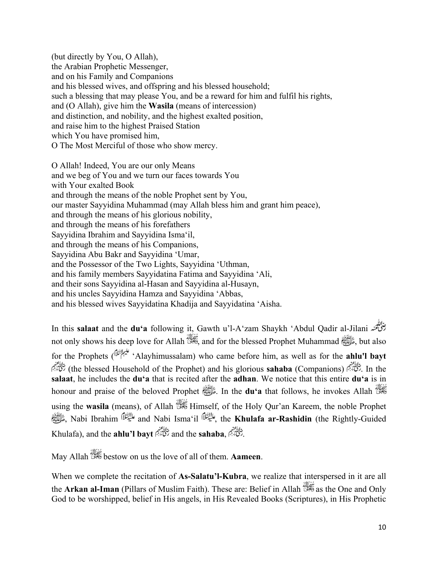(but directly by You, O Allah), the Arabian Prophetic Messenger, and on his Family and Companions and his blessed wives, and offspring and his blessed household; such a blessing that may please You, and be a reward for him and fulfil his rights, and (O Allah), give him the **Wasila** (means of intercession) and distinction, and nobility, and the highest exalted position, and raise him to the highest Praised Station which You have promised him, O The Most Merciful of those who show mercy.

O Allah! Indeed, You are our only Means and we beg of You and we turn our faces towards You with Your exalted Book and through the means of the noble Prophet sent by You, our master Sayyidina Muhammad (may Allah bless him and grant him peace), and through the means of his glorious nobility, and through the means of his forefathers Sayyidina Ibrahim and Sayyidina Isma'il, and through the means of his Companions, Sayyidina Abu Bakr and Sayyidina 'Umar, and the Possessor of the Two Lights, Sayyidina 'Uthman, and his family members Sayyidatina Fatima and Sayyidina 'Ali, and their sons Sayyidina al-Hasan and Sayyidina al-Husayn, and his uncles Sayyidina Hamza and Sayyidina 'Abbas, and his blessed wives Sayyidatina Khadija and Sayyidatina 'Aisha.

In this **salaat** and the **du'a** following it, Gawth u'l-A'zam Shaykh 'Abdul Qadir al-Jilani not only shows his deep love for Allah  $\frac{1}{2}$ , and for the blessed Prophet Muhammad  $\frac{1}{2}$ , but also for the Prophets ( 'Alayhimussalam) who came before him, as well as for the **ahlu'l bayt**  (the blessed Household of the Prophet) and his glorious **sahaba** (Companions) . In the **salaat**, he includes the **du'a** that is recited after the **adhan**. We notice that this entire **du'a** is in honour and praise of the beloved Prophet **ELL** In the **du'a** that follows, he invokes Allah using the **wasila** (means), of Allah  $\frac{1}{2}$  Himself, of the Holy Qur'an Kareem, the noble Prophet صلى الله عليه وسلم, Nabi Ibrahim and Nabi Isma'il , the **Khulafa ar-Rashidin** (the Rightly-Guided Khulafa), and the **ahlu'l bayt**  $\frac{d}{dx}$  and the **sahaba**,  $\frac{d}{dx}$ 

May Allah bestow on us the love of all of them. **Aameen**.

When we complete the recitation of **As-Salatu'l-Kubra**, we realize that interspersed in it are all the **Arkan al-Iman** *(Pillars of Muslim Faith)*. These are: Belief in Allah  $\frac{1}{200}$  as the One and Only God to be worshipped, belief in His angels, in His Revealed Books (Scriptures), in His Prophetic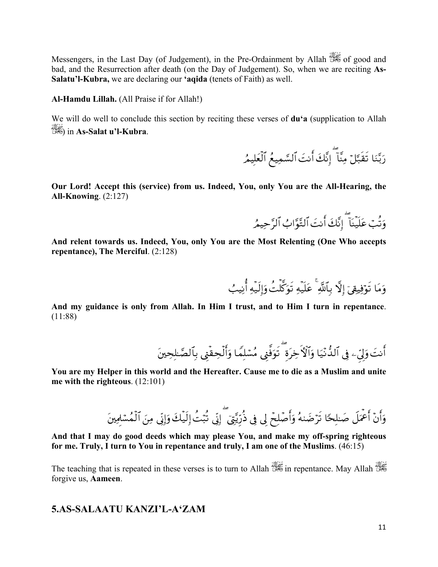Messengers, in the Last Day (of Judgement), in the Pre-Ordainment by Allah was of good and bad, and the Resurrection after death (on the Day of Judgement). So, when we are reciting As-Salatu'l-Kubra, we are declaring our 'aqida (tenets of Faith) as well.

Al-Hamdu Lillah. (All Praise if for Allah!)

We will do well to conclude this section by reciting these verses of **du'a** (supplication to Allah in As-Salat u'l-Kubra.

رَبَّنَا تَقَبَّلَ مِنَّاً إِنَّكَ أَنتَ ٱلسَّمِيعُ ٱلْعَلِيمُ

Our Lord! Accept this (service) from us. Indeed, You, only You are the All-Hearing, the All-Knowing.  $(2:127)$ 

وَتُبۡ عَلَيۡنَآ إِنَّكَ أَنتَ ٱلتَّوَّابُ ٱلرَّحِيمُرِ

And relent towards us. Indeed, You, only You are the Most Relenting (One Who accepts repentance), The Merciful.  $(2:128)$ 

وَمَا تَوْفِيقِيَ إِلَّا بِٱللَّهِ ۚ عَلَيۡهِ تَوَكَّلۡتُ وَإِلَيۡهِ أَٰنِيبُ

And my guidance is only from Allah. In Him I trust, and to Him I turn in repentance.  $(11:88)$ 

أَنتَ وَلِّيَ فِي ٱلذُّنْيَا وَٱلْأَخِرَة ۖ تَوَفَّنِي مُسْلِمًا وَأَلْحِقَّنِي بِٱلصَّاحِينَ

You are my Helper in this world and the Hereafter. Cause me to die as a Muslim and unite me with the righteous.  $(12:101)$ 

And that I may do good deeds which may please You, and make my off-spring righteous for me. Truly, I turn to You in repentance and truly, I am one of the Muslims.  $(46.15)$ 

The teaching that is repeated in these verses is to turn to Allah  $\frac{1}{2}$  in repentance. May Allah forgive us, Aameen.

#### 5.AS-SALAATU KANZI'L-A'ZAM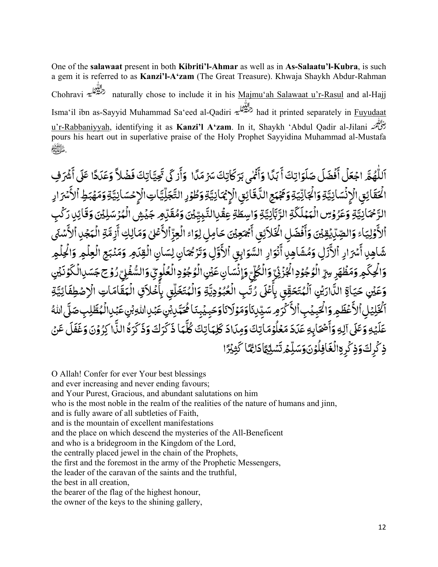One of the **salawaat** present in both **Kibriti'l-Ahmar** as well as in **As-Salaatu'l-Kubra**, is such a gem it is referred to as **Kanzi'l-A'zam** (The Great Treasure). Khwaja Shaykh Abdur-Rahman Chohravi naturally chose to include it in his Majmu'ah Salawaat u'r-Rasul and al-Hajj Isma'il ibn as-Sayyid Muhammad Sa'eed al-Qadiri had it printed separately in Fuyudaat u'r-Rabbaniyyah, identifying it as **Kanzi'l A'zam**. In it, Shaykh 'Abdul Qadir al-Jilani pours his heart out in superlative praise of the Holy Prophet Sayyidina Muhammad al-Mustafa .صلى الله عليه وسلم

ً **ृ** اللَّهُمَّ اجْعَلْ أَفْضَلَ صَلَوَاتِكَ أَبَدًا وَأَثْمَى بَرَكَاتِكَ سَرْمَدًا وَأَزكَى تَجِيَّاتِكَ فَضُلاً وَعَدَدًا عَلَى أَشْرَفِ ً ֦֧֧֟֟֓֡֓֟֓֡֓֓֡֬֓֓֓֓<u>֓</u> **∶** َ֧֧֦֧֦֧֦֧֦֧֦֧֦֧֝֟֓֓֝֓֓֓֓֓֜*֛* َ َٔ َ ً ؚ<br>; َ ٔ ؚ<br>ׇ֚֡֡<br>֧֚֚֝ ً **∶** ٔ **∶ ृ ृ ृ ∶** ٔ َْ֧֧֧֦֧ׅ֧֦֧֧֦֧֧֦֧ׅ֧֦֧֧ׅ֧֧֧֦֧֛֧֛֛֧֛֛֧ׅ֧֧֧֧֧֧֧֧ׅ֧֧֧֝֟֓֓֝֟֓֓֜֓֓֜֓֜֓֜֓֜֜֓֜֜֜֜֓֜֜֓֜֜֓֜֓֜֜֜֜֓ ؚ<br>ۣ ا<br>الماليات<br>الماليات **ـ** ٔ ٕ ِ ا<br>أ الْحَقَائِقِ الْإِنْسَانِيَّةِ وَالْجَانِّيَةِ وَتَجْبَحِ الدَّقَائِقِ الْإِيْمَانِيَّةِ وَطُوْرِ التَّجَلِّيَّاتِ الْإِجْسَانِيَّةِ وَمَهْبَطِ ٱلأَسْرَارِ ََ <u>:</u> **ُ** ّ َ֧֦֧֦֧֦֧֦֧֘֒<u>֓</u> ِ ْ ا<br>ا ֧֧֦֧֦֧֦֧֦֧֦֧֧֦֧֦֧֧֦֧֧֦֧֧֧֦֧֧֦֧֛֧֝֟֓֓֓֓֜֓֜֓֜֓֜֜֓֜֓֜֜֓֜<br>֧֪֝֝ **،** َ ֧֦֧֦֧֦֧֦֧֦֧֦֧֧֦֧֝֟֓֜֜֓֜֜֜֜*֡* ֧֧֦֧֧֦֧ׅ֧֦֧֧֦֧֧֦֧֧֧֦֧֧֦֧֧֦֧֧֛֛֛֛֛֛֧֛֟֓֝֟֓֓֜֓֓֜֓֜֜֜֜֜֜֜֜֜֓֜֓ ؚ<br>֧֦֧֦֧֦֧֦֦֧֦֧֦֧֦֧֦֧֦֧֦֧֦֧֦֧֦֧֦֧֦֦֧֧֦֧֦֦֧֦֧֦֧֡֟֟֓֟֬֟֓֟֬֟֓֟֓֟֓֟֘֩֬֓֟֘֩֬֓֝֬֬֓֬֝֬ ِّ بِ **ُ** ّ ِ ْ **ا** َ ֧֧֧֧֧֧֦֧֧֧֧֝֟֟֓֝֟֟֟֓֝֟֟֓֜֜֟֓֟֓֟֟֓֟֟֟֓֟֟֟֟֓<br>֧ׅ֧֜֜֜ **َ** ֧֖֖֖֚֚֚֚֚֝ َ<u>ٔ</u> **ُ** ֧֖֖֖֖֧֧ׅ֧֧֦֧ׅ֧֧֧ׅ֧֧֧֧ׅ֧֧ׅ֧֧֧֧֚֚֚֚֚֚֚֚֚֚֚֚֚֚֚֝֝֓֜֓֓֝֓֝֬֜֓֓֝֬֓֓֜֓֓֝֬֜֝֬֜֓֝֬֜֓֝֬֝֬֜ َ֖֖֖֖֧֚֚֡֟֟֓֟֓֡֓֓֓֟֓֓<u>֓</u> َ ٔ **ٔ** الرَّحْمَانِيَّةِ وَعَرُوْسِ الْمَمْلَكَةِ الرَّبَّانِيَّةِ وَاسِطَةِ عِقْدِالنَّبِيِّيْنَ وَمُقَرَّمِر جَيْشِ الْمُرْسَلِيْنَ وَقَائِدِ رَكْبِ ֧֝֟֟֓֝֬֝֟֟֬֝֬֝֟֓֝֬֝֬֝֟֓֝֬֝֬֝֬֝֬֝֟֝֬֝֬֝֟֝֬ َ :<br>י َ ֧֧֖֖֖֖֧֧֧֧֧֦֧֧֧֦֧֧֧֧֧֧֦֧֧ׅ֧֧֧֧֧֧֧֦֧֧֦֧֚֚֚֚֚֚֚֚֝֟֓֝֬֓֝֓֓֓֓֓֓֓֓֓֓֬֓֓֓֓֓֓֜֬֓֜֓֜֜֬֬֜֓֜֜֬֜ ់<br>៖ َََ ֧֧֦֧֦֧֦֦֧֦֧֦֧֦֧֦֧֝֟֓֓֝֓֝֬֜֓**֓** ِ َ ֧֧֧֦֧֧֦֧ׅ֧֦֧֝֟֟֓֝֟֟֓֝֬֟֜֓֜֓֜<sup>֓</sup>֓ **ُ** ّ َ َ ؚ<br>֡֟ ِ بِمَا يَسْتَقِيمَ بِمَا يَسْتَقِيمَ بِمَا يَسْتَقِيمَ بِمَا يَسْتَقِيمَ بِمَا يَسْتَقِيمَ بِمَا يَسْتَقِيمَ ب َ َ ֧֧֦֧֦֧֦֧֦֧ׅ֧֦֧֧֦֧ׅ֧֧ׅ֧ׅ֧ׅ֧֧ׅ֧֧֧ׅ֧֧֧ׅ֧֚֝֜֓֓֜֓֜֓֓֜֓֜֓֜֓֓֜֓֜֬֜֬֜֓֜֬֜֓ ֧֧֧֧֧֧֧֝֟֟֓֟֓֟֓֟֓֟֓֟֓֝֓֟֓֟֓֟֟֓<del>֛</del> ֦֧֧֟֟֓֓<u>֕</u> ֪֪֦֧֡֟֟֟֟֟֟֟֟֟֟֟֟֟֟֟֟֟֟֟֟֟֟֟֟֟֟֟֟֟֟֟<sup>֟</sup> ់<br>តែ ֧֦֧֦֧֦֧֦֧֦֧֝<u>֚֓</u> َ **่** ِ بِمِنْ أَيُّةٍ بِمِنْ أَيُّةٍ بِمِنْ أَيُّةٍ بِمِنْ أَيُّةٍ بِمِنْ أَيُّةٍ بِمِنْ أَيُّةٍ بِمِنْ أَيُّةٍ بِم وَكِّيْبَاءُ وَالصِّدِّيْيَةِيْنَ وَأَفْضَلِ الْخَلاَئِقِ أَجْمَعِيْنَ حَامِلِ لِوَاءُ الْعِزِّ أَلاَّهَا وَمَالِكِ أَزِمَّةِ الْمَجْدِ أَلاَّمَهُ مِنْ يَوْمِيَّا لِلْجَمَعِيْنَ حَامِلِ لِوَاءُ الْعِزْ أَلاَّهُمْلِ وَمَال َ ٔ **َ** ٔ ا<br>أ ֧֦֧֦֧֦֧֦֧ׅ֖֚֝֜<br>֧֚֝ ِ ؚ<br>֡֟֟֓֟֓֟֓֟֓֟֓֟֓֟֓֟֓֟֓֟֡֟֟֟֟֡֬֟֓֟֓֟֓֟֡֟֟֟֟֬֟֩֬ َ**∶** ٔ **ا ∶** َ ٔ َ ْ **ـ** ֧֦֧֦֧֦֧֦֧֦֧֦֧ׅ֧֦֧֧֦֧֧֦֧֧֦֧֜֓֓֜֓֓֜֓֓֜֓֓֜**֓** َ**∶** <u>ّ</u> ֚֚֝֝֝֝֝֝֝<br>֚֚֚֚֚֚֚֝֝֝֝֝֝֝֝֝֝֝֝֝֝֝֝֝֝֟֝֝<br>֧֖֖֖֖֖֖֖֖֖֖֖֖֖֖֚֚֚֚֚֚֚֚֚֚֚֚֚֚֚֚֚֚֚֚֚֚֚֝֝֝֝֝֝֝֝֝ ٔ ا<br>أ ֦֧֦֦֖֧֦֧֦֧֦֧֦֧֟֟֟֓֝֟֟֟֟֝֬֟֓֝<u>֦</u> ֖֖֖֖֪ׅ֖֪֖֖֪֦֖֖֚֚֚֚֚֚֚֚֚֚֚֝֝֝֝֝֓֕֓֝֝֓֝֓֓֓֝֬֝֓֝֓֝֓֝֓֓֝֓֞֟֓֓֝֓֝ ٔ ا<br>أ ֦֧֦֧֦֧֦֧֦֧֦֧֟֟֓֟֓֟֓֡֝<u>֛</u> ؚ<br>֡֟֟֓֟֓֟֓֟֓֟֓֟֓֟֓֟֓֟֓֟֡֟֟֟֟֡֬֟֓֟֓֟֓֟֡֟֟֟֟֬֟֩֬ َ ֧֖֖֧֧֧֧֧֧֧֦֧֧֧ׅ֧֚֚֚֚֚֚֚֚֚֚֚֝֓֓֓֓֓֓֓֓֓֓֓֓֓֜֓֓֜֓֓ ֧֟֓֟֓֟׆<br>֧֓ شَاهِنِ أَسْرَادِ ٱلأَزَلِ وَمُشَاهِدِ أَنْوَادِ السَّوَابِقِ ٱلأَوَّلِ وَتَرْجُمَانِ لِسَانِ الْقِدَوِ وَمَنْبَعِ الْعِلْمِ وَالْحِلْمِ َ ٔ ا<br>أ َ֧֧֦֦֧֦֧֦֧֦֧֦֧֧֦֧ׅ֧֧֦֧ׅ֧֦֧֝֟֓֝֓֓֜֓֜֓֓֜֓<br>֧ׅ֖֧֖֖֖֖֖֖֧֧ׅ֧֧֚֚֚֚֚֚֚֚֚֚֚֚֚֚֚֚֚֚֜֝֝֟֓֜֓֝֬ َ ٔ َ**ृ** ֖֖֦֦֖֖֖֧֦֧֦֧֦֧֦֧֚֚֚֚֚֚֚֚֚֚֚֚֚֚֚֚֚֚֚֝֝֝֝֝֟֓֟֓֟֓֟֓֟֓֝֬֝֓֟֓֝֬֟֓֟֓֝֬֓֝֬ ٔ ا<br>أ **∶** ٔ ا<br>أ ֧֦֧֦֧֦֧֦֧֘֒<u>֘</u> <u>:</u> ֦֧֧֟֟֓֓<u>֕</u> َ ْ **ृ** ْ َ֧֧֦֧֦֧֦֧֦֧ׅ֧֦֧ׅ֧֧ׅ֧ׅ֧֧ׅ֧ׅ֧ׅ֧֝֟֓֝֝֜֓֜֓֜֜֓֜֓֜֜֓֜֓֜֓ ֖֖֚֚֚֚֝<u>֓</u> وَاکۡـِکۡـَهِ وَمَظۡـٰٓهَرِ سِرِّ الۡوُجُوۡدِاكۡجُزۡنُیۨ وَالۡـُکۡلِّ وَإِنۡـَسَانِ عَیۡنِ الۡوۡجُوۡدِ الۡعُلۡوِیِّ وَالسُّفۡوِیِّ رُوۡـح جَسَـٰںِالۡـٰٓکَوۡنَیۡنِ ់<br>៖ ُ ֧֖֖֚֚֚֚֝<br>֧֖֧֖֖֧֖֚֚֚֚֚֚֚֚֚֚֚֚֚֚֚֚֚֝֝֝֝֝֬֝֓֝֬֝֬֝֬֝֬֝֬֝֬֝֬֝֬֝֬֝֬ **ـ** ا<br>أ ُ .<br>.<br>. <u>ّ</u> ؚ<br>ۣ ُ ֦֧֧֟֟֓<u>֕</u> َ֦֧֘<u>֓</u> ِ َ ِ **.** ِ ֧֧֧֧֦֧ׅ֧֦֧ׅ֧֧ׅ֧֦֧ׅ֧֦֧֝֟֟֓֝֟֟֟֓֝֟֓֜֓֜֓֝֬֜֓֜֓ <u>ّ</u> المناسب المسلمات المسلمات المسلمات المسلمات المسلمات المسلمات المسلمات المسلمات المسلمات المسلمات ا ֦֧֧֦֧֦֧֦֧֧֧֧֧֧֧֧֧֧֧֧֧֧֧֧֟֟֓֝֟֟֓֝֝֬֝֟֓֝֬֝֓֝֬֝֓֝֬֝֓֝֬֝֓֝֬֝֓֝֬֓֝֬֓֝֬֝֬֝֬֝֬֝֬֝֓֝֬֝֬֝֬֝֬֝֬֝ <u>ّ</u> ؚ<br>ۣ ُ ֦֧֧֟֟֓<u>֕</u> **ٔ** ۔<br>ا ֦֧֧֦֧֦֧֦֧֦֧֦֧ׅ֧֦֧֧֦֧֦֧֧֧ׅ֧֧֧֧ׅ֧֧֧֧֟֟֓֝֝֝֜֓֝֬֝֬֓֝֬֜֓֓֓֓֜֓֝֬<br>֧֪֧֝<u>֘</u> َ ْ َِ بِمَا يَسْتَقِيمَ بِمَا يَسْتَقِيمَ بِمَا يَسْتَقِيمَ بِمَا يَسْتَقِيمَ بِمَا يَسْتَقِيمَ بِمَا يَسْتَقِيمَ ب ِ ֦֧֦֧֟֟֓֟֓֟֓֝<u>֓</u> وَعَيْنِ حَيَاةِ الدَّارَيُنِ ٱلْمُتَحَقِّقِ بِأَعْلَى دُتَبِ الْعُبُوُدِيَّةِ وَالْمُتَخَلِّقِ بِأَخْلاَقِ الْمَقَامَاتِ الْإِصْطِفَائِيَّةِ<br>الزامل الأخطاء المحيط عالم الله الله عليه المسابق المُجاوِدِيَّةِ وَالْمُتَخَلِ َ֧֧֦֦֧֦֧֝֟֟֓֟֓֟֟֓֟֟֟֟֓֟֓֟֓֟֓֟֟֬֟֟֩֓֟֟֓֟֟֟֩֓ ََ֧֧֧֦֧֦֧֧֦֧֦֧֦֧֧֦֧֧֦֧֦֧֦֧֦֧֧֓֓֓֓֓֓֝֬֓֓֓֓֓֓֓֓֓֓֓֓֓֓֓֓֓֓֝֬֓֓֓֜֓֓֓֓֓֓֓֓ ֖֖֚֚֚֚֚֚֚֝֝֝֝֝֝֝֝ ֦֧֦֧֟֟֓֝<u>֦</u> ْ **∶** ֦֧֧֟֟֓֓<u>֕</u> ا<br>ا ֚֝<br>֧֚֝<br>֧֖֖֖֖֖֖֖֚֚֚֚֚֚֚֚֚֚֚֚֚֚֝֝֝֝֝֝֝֝֝֝֝֝֝֝֝֬֝֝֝֝֝֝֝֝֝<br>֧֖֖֖֚֚֚֚֚֚֚֚֚֚֚֚֚֝֝֝֝֝֝֝֝֝֝֝֝֬֝֝ ٔ **ـ** َ ֦֧֧֟֟֓֓<u>֕</u> ا<br>ا ֧֧֧֧֦֧֧֦֧֝֟֓֓֓֟֓֓֝֬֟֓֓֜֓<u>֓</u> ؚْ<br>ۣ ُ ؚ<br>֡֟ َ ِّ بِ َ ٔ َ ْ **َ** ڸؽڸٱلأَعۡظَٰهِ وَالۡخَبِيۡبِٱلأَکۡرَمِ سَيِّدِنَاوَمَوۡلَا ؚ<br>֧֧֪֪֪֪֖֖֖֖֖֖֖֚֝֟֓֟֓֟֓֟֟֟֟֟֓֝֬֝֟֟֟֘֝֬֝֟֘֝֬֝֟֝֟֝֬֝֟֝֬֝֟֝֬֝֬֝֬֝֬֝֟֬֝֬֝֬֝֬֝֓֝֬֝֬֝֝֬֝֬֝ ֧֦֧֦֧֦֧֦֧ׅ֧֦֧ׅ֧֝֟֝֜֓֜֓<u>֚</u> ِ ֝֝֝֝֝**֝ ृ** ែ<br>តែ ֖֪֦֚֚֚֚֚֚֝֝֝֝֝֝֝֝֝֝**֝** ٔ ا<br>أ ֪֡֟֟֟֟֟֟֟֟֟֟֟֟֟֟֟֟֟֟֟֟֟֟֟֟֟֟֟֟֟֟֟<sup>֟</sup> َ <u>:</u> ֧֦֧֦֧֦֧֦ׅ֦֧֝֟֟֟֟֓֘֝<u>֓</u> َ ٔ ْ <u>:</u> َْ ٱلۡتَّذِيۡلِٱلۡأَعۡظَٰهِ وَالۡتَبِيۡدَبِٱلۡأَكۡوَمِ سَيِّدِنَاۚ وَمَوۡلَانَاۚ وَحَبِيۡبِنَاۚ مُحَسَّدِبۡنَى عَبۡدِاللّٰهِ بِنِ عَبۡدِالۡهُ طَّلِبِ صَلَّى اللّٰهُ َ֧֧֖֖֖֖֖֧֦֧ׅ֧֧֧֦֧ׅ֧֦֧ׅ֧֦֧ׅ֧֧֧֧֛֛֛֛֛֛֛֛֛֛֛֛֛֛֛֛֛֛֛֛֛֛֪֚֚֚֚֚֚֝֟֓֝֟֓֝֬֜֓֝֬֝֓֜֓֜֓֜֓֜֜֜֜֜֜֜֜֜֜֜֜֜֜֜֜֝֟ ْ <u>ّ</u> َ ֖֧֦֧֦֧֧֦֧֡֟֟֓֝֟֓֝֟֓֕֓֕֓֝֓֬֝֓֝֬֝֓֝֬֓֟֓<u>֦֝</u> َ **ُ** ֧֧֖֖֧֧֧֧֧֦֧֧֧ׅ֧ׅ֧֧֧֧֧ׅ֧֧֧ׅ֧֧֧֚֚֚֚֚֚֚֚֚֚֚֚֚֚֚֝֝֝֓֝֓֓֓֓֝֬֜֓֓֜֓֓֜֓֓֝֬֜֓֜֓֜֝֬֜֓֝֬֜ **ا** <u>:</u> َُ**ُ** ֧֧֖֖֖֚֚֚֚֚֚֚֝֟֓֝֬<br>֧֖֖֖֖֖֖֖֖֖֖֖֖֚֚֚֚֚֚֚֚֚֚֚֚֚֜֜֜֜֜֜֜֜֝֝֬<br>֧֝ َتَبَّلِبُّنِ عَبۡلِاللَّهِ بَٰٓنِ عَبۡلِالۡ مُطَّلِبِ صَ<br>يَمَا ذَكَرَكَ وَذَكَرَهُ النَّااكِرُوۡنَ وَغَفَا ِّ بِ ا<br>ا ֧֧֧֧֧֓֓֓֓֓֓֓<u>֓</u> ؚ<br>ۣ َ **∶** َ֖֖֚֚֚֚֚֚֚֚֚֚֚֚֚֝ **ا** َ **ُ** بر<br>پا **∶** عَلَيۡهِ وَعَلَى آلِهِ وَأَصۡحَاۚبِهِ عَدَدَ مَعۡلُوۡمَاۚتِكَ وَمِدَادَ كَلِمَاۚتِكَ كُلَّمَا ذَكَرَكَ وَذَكَرَهُ النَّاا كِرُوۡنَ وَغَفَلَ عَنۡ ََ **ا ृ** َ **∶** ؚ<br>; ؚ<br>ۣ <u>ّ</u> **ا ृ** َ ٔ َ ِ ٓ **ृ** َ **ृ** َ َذِكَرِكَ وَذِكَرِ وَالۡغَافِلُوۡنَ وَسَلِّمۡ تَسۡلِّمَٱذَاهُمَا كَثِيۡرَ ا َ ً َ ֦֖֧֡֡֟֓֝֟֓֝<u>֚</u> َ ْ ت ֧֦֧֦֧֦֧֦֧ׅ֖֚֚֝֜֓֝֬<br>֧֚֝ ؚ<br>ا َِّ بِ َ ֦֧֦֧֟֟֓֕<u>֦</u> ់<br>តែ َ َ់<br>តែ

O Allah! Confer for ever Your best blessings and ever increasing and never ending favours; and Your Purest, Gracious, and abundant salutations on him who is the most noble in the realm of the realities of the nature of humans and jinn, and is fully aware of all subtleties of Faith, and is the mountain of excellent manifestations and the place on which descend the mysteries of the All-Beneficent and who is a bridegroom in the Kingdom of the Lord, the centrally placed jewel in the chain of the Prophets, the first and the foremost in the army of the Prophetic Messengers, the leader of the caravan of the saints and the truthful, the best in all creation, the bearer of the flag of the highest honour, the owner of the keys to the shining gallery,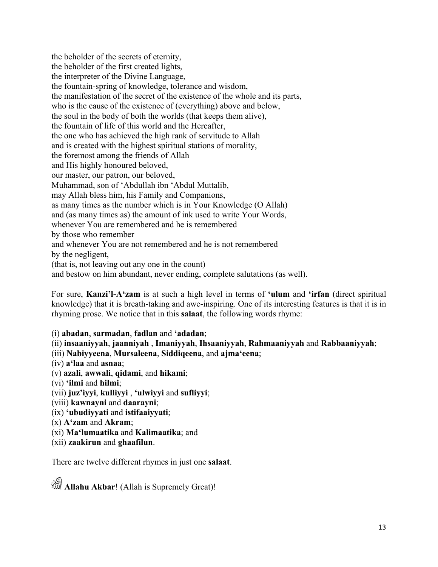the beholder of the secrets of eternity, the beholder of the first created lights, the interpreter of the Divine Language, the fountain-spring of knowledge, tolerance and wisdom, the manifestation of the secret of the existence of the whole and its parts, who is the cause of the existence of (everything) above and below, the soul in the body of both the worlds (that keeps them alive), the fountain of life of this world and the Hereafter, the one who has achieved the high rank of servitude to Allah and is created with the highest spiritual stations of morality, the foremost among the friends of Allah and His highly honoured beloved, our master, our patron, our beloved, Muhammad, son of 'Abdullah ibn 'Abdul Muttalib, may Allah bless him, his Family and Companions, as many times as the number which is in Your Knowledge (O Allah) and (as many times as) the amount of ink used to write Your Words, whenever You are remembered and he is remembered by those who remember and whenever You are not remembered and he is not remembered by the negligent, (that is, not leaving out any one in the count) and bestow on him abundant, never ending, complete salutations (as well).

For sure, **Kanzi'l-A'zam** is at such a high level in terms of **'ulum** and **'irfan** (direct spiritual knowledge) that it is breath-taking and awe-inspiring. One of its interesting features is that it is in rhyming prose. We notice that in this **salaat**, the following words rhyme:

(i) **abadan**, **sarmadan**, **fadlan** and **'adadan**;

- (ii) **insaaniyyah**, **jaanniyah** , **Imaniyyah**, **Ihsaaniyyah**, **Rahmaaniyyah** and **Rabbaaniyyah**;
- (iii) **Nabiyyeena**, **Mursaleena**, **Siddiqeena**, and **ajma'eena**;
- (iv) **a'laa** and **asnaa**;
- (v) **azali**, **awwali**, **qidami**, and **hikami**;
- (vi) **'ilmi** and **hilmi**;
- (vii) **juz'iyyi**, **kulliyyi** , **'ulwiyyi** and **sufliyyi**;
- (viii) **kawnayni** and **daarayni**;
- (ix) **'ubudiyyati** and **istifaaiyyati**;
- (x) **A'zam** and **Akram**;
- (xi) **Ma'lumaatika** and **Kalimaatika**; and
- (xii) **zaakirun** and **ghaafilun**.

There are twelve different rhymes in just one **salaat**.

Allahu Akbar! (Allah is Supremely Great)!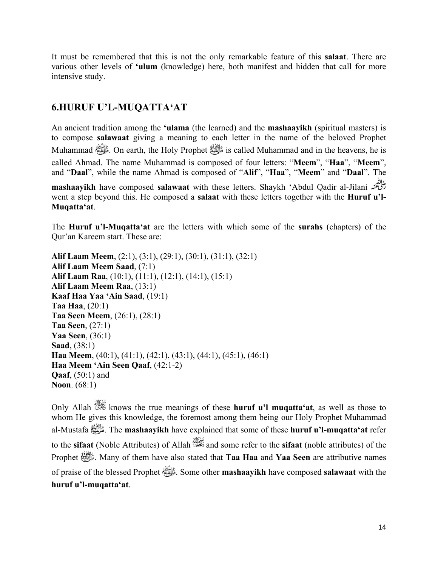It must be remembered that this is not the only remarkable feature of this **salaat**. There are various other levels of **'ulum** (knowledge) here, both manifest and hidden that call for more intensive study.

# **6.HURUF U'L-MUQATTA'AT**

An ancient tradition among the **'ulama** (the learned) and the **mashaayikh** (spiritual masters) is to compose **salawaat** giving a meaning to each letter in the name of the beloved Prophet Muhammad صلى الله عليه وسلم. On earth, the Holy Prophet صلى الله عليه وسلم is called Muhammad and in the heavens, he is called Ahmad. The name Muhammad is composed of four letters: "**Meem**", "**Haa**", "**Meem**", and "**Daal**", while the name Ahmad is composed of "**Alif**", "**Haa**", "**Meem**" and "**Daal**". The

**mashaayikh** have composed **salawaat** with these letters. Shaykh 'Abdul Qadir al-Jilani went a step beyond this. He composed a **salaat** with these letters together with the **Huruf u'l-Muqatta'at**.

The **Huruf u'l-Muqatta'at** are the letters with which some of the **surahs** (chapters) of the Qur'an Kareem start. These are:

**Alif Laam Meem**, (2:1), (3:1), (29:1), (30:1), (31:1), (32:1) **Alif Laam Meem Saad**, (7:1) **Alif Laam Raa**, (10:1), (11:1), (12:1), (14:1), (15:1) **Alif Laam Meem Raa**, (13:1) **Kaaf Haa Yaa 'Ain Saad**, (19:1) **Taa Haa**, (20:1) **Taa Seen Meem**, (26:1), (28:1) **Taa Seen**, (27:1) **Yaa Seen**, (36:1) **Saad**, (38:1) **Haa Meem**, (40:1), (41:1), (42:1), (43:1), (44:1), (45:1), (46:1) **Haa Meem 'Ain Seen Qaaf**, (42:1-2) **Qaaf**, (50:1) and **Noon**. (68:1)

Only Allah knows the true meanings of these **huruf u'l muqatta'at**, as well as those to whom He gives this knowledge, the foremost among them being our Holy Prophet Muhammad al-Mustafa صلى الله عليه وسلم. The **mashaayikh** have explained that some of these **huruf u'l-muqatta'at** refer to the **sifaat** (Noble Attributes) of Allah **and** some refer to the **sifaat** (noble attributes) of the Prophet صلى الله عليه وسلم. Many of them have also stated that **Taa Haa** and **Yaa Seen** are attributive names of praise of the blessed Prophet صلى الله عليه وسلم. Some other **mashaayikh** have composed **salawaat** with the **huruf u'l-muqatta'at**.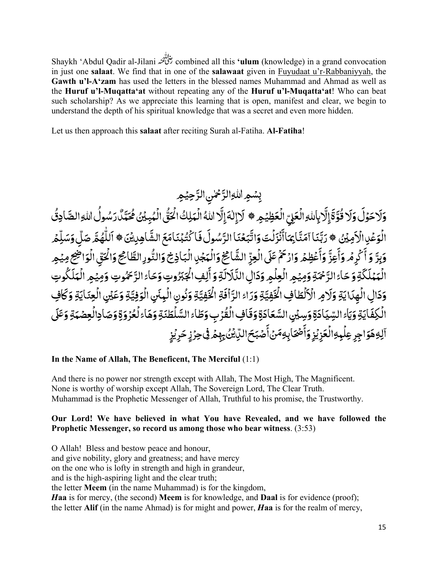Shaykh 'Abdul Qadir al-Jilani combined all this **'ulum** (knowledge) in a grand convocation in just one **salaat**. We find that in one of the **salawaat** given in Fuyudaat u'r*-*Rabbaniyyah, the **Gawth u'l-A'zam** has used the letters in the blessed names Muhammad and Ahmad as well as the **Huruf u'l-Muqatta'at** without repeating any of the **Huruf u'l-Muqatta'at**! Who can beat such scholarship? As we appreciate this learning that is open, manifest and clear, we begin to understand the depth of his spiritual knowledge that was a secret and even more hidden.

Let us then approach this **salaat** after reciting Surah al-Fatiha. **Al-Fatiha**!

<u>:</u> بِسُمِ اللهِ الرَّ<sup>ح</sup>ْنِ الرَّحِيْمِ ا<br>ا ֧֧֧֧֧֧֧֝֟֟֓֟֓֟֓֟֓֟֓֟֓֝֓֟֓֟֓֟֟֓<del>֛</del> ֧֧֖֖֖֚֚֚֚֚֚֚֝֟֓֝֬<br>֧֖֖֖֖֖֖֖֖֖֖֖֖֚֚֚֚֚֚֚֚֚֚֚֚֚֜֜֜֜֜֜֜֜֝֝֬<br>֧֝ <u>:</u>

<u>:</u> وَلَاحَوْلَ وَلَا قُوَّةَ إِلَّابِاٰللهِ الْعَلِيِّ الْعَظِيْمِ ۞ لَاإِلٰهَ إِلَّا اللّٰهُ الْهَلِكُ الْحَقُّ الْهُبِيْنُ مُحَمَّدٌ رَسُولُ اللهِ الصَّادِقُ **َ** ֦֧֦֧֟֟֓֕<u>֦</u> ֖֚֚֚֝֝֝֝**֝ َ** ֦֧֦֧֟֟֓֕<u>֦</u> َ ֧֧֧֧֦֧֧֦֧֝֟֓֓֝֟֓֓֝֬֟֓֓֜֓֓֜*֛* ِ ֧֦֧֦֦֧֦֦֦֧֦֧ׅ֧֦֧ׅ֧֦֧ׅ֧֦֧֝֟֟֓֝֝֜֓֜֓֜֓֜**֓** ֧֧֦֧֦֧֦֧֦֧֝֟֓֜*֛* ֧֧֝֟֓֟֓֓֝֟׆<br>֧֧֧ ُ َ**ृ** َُ َ֧֧֧֧֦֧֧֦֧֝֟֓֓֝֟֓֓֝֬֟֓֓֜֓֓֜*֛* ِ َ ٰ ِ َ ؚ<br>ۣ ֦֧֧֟֟֓֓<u>֕</u> ُ ֧֖ׅ֦֧ׅ֧֧ׅ֧֧ׅ֧֧ׅ֧֧ׅ֧֧֧ׅ֧ׅ֧֧֚֚֚֚֚֚֚֚֚֚֚֚֚֚֚֚֚֚֚֚֝֝֓֡֓֡֓֡֬֓֓֡֬֜֓֓֝֓֜֓֓֝֬֜֓֝֬֜֓֝֬֜֓֝֬֝֬֜֝֬ ֦֧֧֦֧֦֧֦֧֦֧֦֧ׅ֧֦֧֧֦֧֦֧֧֧ׅ֧֧֧֧ׅ֧֧֧֧֟֟֓֝֝֝֜֓֝֬֝֬֓֝֬֜֓֓֓֓֜֓֝֬<br>֧֪֧֝<u>֘</u> ؚ<br>ا ؚ<br>; ؚ<br>֡֟ ∫<br>∫ َ֧֖֖֖֧֦֧ׅ֧֧ׅ֧ׅ֧֧ׅ֧֧֧֧֧ׅ֧֧ׅ֧֧֧֧֧֚֚֚֚֚֚֚֚֚֚֚֝֝֓֜֓֓֝֬֜֓֓֝֬֜֓֓֝֬֜֓֓֝֬֜֜֝֬֜֓֝֬֜֓֝֬֜֝֬ ِّ بِ ِّ بِيَا بِيَا بِيَا بِيَا بِيَا بِيَا بِيَا بِيَا بِيَا بِيَا بِيَا بِيَا بِيَا بِيَا بِيَا بِيَا بِيَا بِيَا ٌ ا<br>ا ֧֧֖֚֚֝֟֓֓֝<br>֧֧֧֧֧֧ׅ֧ׅ֧ׅ֧֧֚֚֚֚֚֚֚֚֚֚֚֚֚֚֚֚֚֚֚֚֚֚֚֚֚֝֝֝֓֝֬֝֓֝֬֜֜֜֝֬֝֬ ِ<br>زَمِينُ الْوَعُدِ الْأَمِيْنُ ۞ رَبَّنَا آمَنَّا بِمَاأَنْزَلُتَ وَاتَّبَعْنَا الرَّسُولَ فَاكْتُبْنَامَعَ الشَّاهِدِيْنَ ֦֧֦֦֧֦֦֧֦֦֧֦֧֦֧֦֧֦֧֦֧֦֧ׅ֧֧ׅ֧֧ׅ֧ׅ֧֧ׅ֧֧֧ׅ֧֧֧ׅ֧֧֧֧ׅ֧֧֧֧֧֝֟֟֓֝֝֝֝֜֓֓֜֜֓֓֜֓֜֓֓֜֓֜֓֜֓֜֓<br>֧֧֧֧֧֧֧֧֧֧֧֧֧ׅ֛֪֧֧֧֪֧֚֝֜֜֜֜֜֜֝֬֜֝֬ َ֧֧֖֧֧֧ׅ֧ׅ֧ׅ֧ׅ֧֚֚֚֚֚֚֚֚֚֚֚֚֚֚֚֚֝֝֝֓֝֓֜֓֜֓֜֓֝֬֜֓֓ َؚ<br>֧֝֟֟֓֟֓֟֓֟֓֟֓֟֓֟֓֟֓֟֓֟֬֟֓֟֓֟֓֟֘֩֝֬֝֟֩*֟* ُ ់<br>៖ **ृ** ِّ ِ ّ **ا** <u>ّ</u> َ ֧֧֧֧ׅ֧֧ׅ֧֧֧֧ׅ֧֦֧ׅ֧֧֧֧֪֪֧֧֧֪֪ׅ֦֧֚֚֚֚֚֚֚֚֚֚֚֚֚֚֚֚֝֓֡֓֓֡֓֓֡֓֓֡֓֓֡֓֓֟֓֓֜֓֓֜֜֓֓֜֜֜֜֓֜֓֝֬֜֜ َْ رَبَّنَا آمَنَّا ِمَاۤأَنۡزَلۡتَ وَاتَّبَعۡنَا الرَّسُولَ فَا كُتُبۡنَامَعَ الشَّاهِلِيۡنَ ﴾ ٱللَّٰهُمَّ صَلِّ وَسَلِّمۡ ់<br>ខែ ٔ ֧֧֦֧֦֧֦֧֦֧֝֟֟֓֜*֛* ֧֧֦֧֧֦֧ׅ֧֦֧֝֟֓֝֬֟֓֓֜֓֓֜*֛* ٓ **∶** ا<br>ا ֧֧֧֦֧֧֦֧֦֧֦֧֧֧֝֟֓֝֟֟֓֓֝֬֟֓֓֜֜֓<del>֛</del> ْ**ـ** ์<br>. ֧֖֧֦֧֦֧ׅ֚֚֝֝֜֝֬ ֧֦֧֦֧֦֧֦֧֚֝֜֜*֟* ֧֝֟֟֓֟֓֟֓֟֓֡֓֓֟֓֟֓֡֟֟֟֟֟֟֟֡֬ ֧֧֧ׅ֧֧ׅ֧ׅ֧֧ׅ֧ׅ֧ׅ֧ׅ֧֧ׅ֧ׅ֧ׅ֧֧ׅ֧֧֚֚֚֚֚֚֚֚֚֚֚֚֝֝֓֕֓֝֓֜֓֓֜֓֜֓֓֝֬֜֓֓֜֓֜֓֜֓֜֓֜֓֜֓֝֬֜֓ ُ ٰ ֧֦֧֦֧֦֧֦֧ׅ֧֝֜֓֓֝ ا<br>ا **ِي**رِّ الشَّائِخ ֧֧֦֧֦֧֦֧ׅ֧֦֧֧֧ׅ֧֦֧֧ׅ֧֦֧֧֧ׅ֧֧֛֛֛֧֝֟֓֝֜֓֜֜֜֓֜֜֓֜֜֜֓֜֜֜֓֜<br>֧֧֝֟ ֧֦֧֦֧֦֧֦֧ׅ֧֜֓֓<u>֚</u> ؚ<br>֡֟ وَبِرَّ وَأَكْرِمُ وَأَعِزَّ وَأَعْظِمُ وَارْحَمْ عَلَى الْعِزِّ الشَّاجْعُ وَالْبَجْدِ الْبَاذِخ وَالنُّورِالطَّاجِح وَالْحَقِّ الْوَاضِحِ مِيْمِر <u>ّ</u> ؚ<br>֧֝֟֓֟֓֟֓֟֓֟׆֧֧ **∶** ٔ َ ا<br>ا ֧֧֧֧֧֧֓֓֓֓֓֓<u>֓</u> **∶** ٔ َ **ٔ** ؚ<br>ؙ **∶** ٔ ََ֧֧֧֧֟֟֟֟֟֟֟֟֟֟֟֟֟֟֟֟֜֝֟֜֟֜֟֟֟֟֟֟֟֟֟֟֟֟֟֟֟֩֓<br>֧֜֜ ֧֖֖֧֧֧֧ׅ֧֧ׅ֧ׅ֧ׅ֧ׅ֧ׅ֧֧ׅ֧֧ׅ֧ׅ֧֧ׅ֧֧֚֚֚֚֚֚֚֚֚֚֚֚֚֚֚֚֝֝֓֝֬֝֓֝֬֓֓֝֬֜֓֜֓֜֓֜֓֜֓֝֬֜֓֝֬֜֜֓֝֬֜֝֬֝ ُ ֧֧֦֧֦֧ׅ֧֖֧֦֧ׅ֧ׅ֧֧ׅ֧ׅ֧֧֧֛֧֛֦֧֚֚֝֟֓֜֓֓֝֬֜֓֬֜֓֓֝֬֜֓֓֬֜֓֓֬֜֬֓֜֬֜֓֜֬ َؚ<br>֡֟ ֦֧֦֧֦֧֦֧֦֧֦֧֦֧֦֧֦֧֟֟֓֟֓֟֓֡<u>֓</u> .<br>.<br>. ֦֧֧֟֟֓֓<u>֕</u> ֦֧֦֧֦֧֦֧֦֧֦֧֦֧ׅ֧֦֧ׅ֧֦֧֧ׅ֧֦֧֧ׅ֧֦֧֜֓֜֓֜֜֓֜֜֜֓ <u>:</u> ر<br>الْهَمْلَكَةِ وَ حَاءُ الرَّحْمَةِ وَمِيْمِ الْعِلْمِ وَدَالِ النَّالَالَةِ وَ أَلِفٍ الْجَبَرُوتِ وَحَاءَ الرَّحْمُوتِ وَمِيْمِ الْهَلَكُوتِ َ ّ ֦֧֧֦֧֦֧֦֧֧֦֧֦֧֦֧֦֧֦֧֧֧ׅ֧֧ׅ֧֧ׅ֧֧֧֧֧֧֧֧֧֧֧֧֟֟֓֝֝֟֓֓֝֬֝֝֬֝֬֓֝֬֜֓֓֝֬֜֓֓֝֬֜֓֝֬֝֬֝֬֓֓<br>֧֧֧֧֜ ِ َ ٔ ََ َ َ֧֧֧֧֧֧֦֧֧֝֟֟֓֝֟֟֟֓֝֟֟֓֜֜֟֓֟֟֓<br>֧֧֝֩֩ **∶** ا<br>أ ֦֧֦֧֟֟֓֕<u>֦</u> ֦֧֦֧֟֟֓֟֓֝֟֓֕<u>֓</u> َ ֧֧֧֧֦֧֧֧֦֧֧֝֟֟֓֝֟֟֓֓֝֟֓֜֜֓֜<br>֧֧֝֜֜֝ ا<br>ا َ **ृ** <u>ّ</u> ۔<br>ا َ َ ֦֧֦֧֟֟֓֕<u>֦</u> <u>:</u> ِ وَدَالِ الْهِدَايَةِ وَلَامِ الْأَلْطَافِ الْخَفِيَّةِ وَرَاءُ الرَّأَفَةِ الْخَفِيَّ ֦֧֦֧֟֟֓֕<u>֦</u> ا<br>ا ا<br>ا ֧֧֦֧֧֧֦֧֧֧֦֧֦֧֧֧֦֧֦֧֧֦֧֦֧֧֧֧֧֧֧֧֧֧֧֧֧֧֧֧֧֧֧֧֧֦֧֓֓֓֓֓֓֓֓֓֓֓֓֓֓֓֓֓֓֓֓֓֓֓֓֓֓֓֝֬֜֓֓֓֓֓֓֓֓֓֓֓֝֬֜֝֬ َْ فِيَّةِ وَرَاءُ الرَّأَفَةِ الْخَ ֧֦֧֦֧֦֦֧֦֧֦֧֦ׅ֧֦֧֝֟֟֟֟֟֟֟֟֟֟֟֟֟֟֓֡֟֟֟֟֟֜֓ ْ َ ֧֧֦֦֧֦֧֝֟֟֓֟֓֟֟֓֟֟֟֟֓֟֓֟֓֟֓֟֟֬֟֟֩֓֟֟֓֟֟֟֩֓ ا<br>ا ֧֧֦֧֧֧֦֧֧֧֦֧֦֧֧֧֦֧֦֧֧֦֧֦֧֧֧֧֧֧֧֧֧֧֧֧֧֧֧֧֧֧֧֧֧֦֧֓֓֓֓֓֓֓֓֓֓֓֓֓֓֓֓֓֓֓֓֓֓֓֓֓֓֓֝֬֜֓֓֓֓֓֓֓֓֓֓֓֝֬֜֝֬ َْ َلطافٍ الأ ֧֡֡֟֟֟֟֟֟֟֟֟֟֟֟֟֟֓֕<sup>֟</sup>  $\leq$ ِمَايَةِ وَلَامِ الْأَلْطَافِ الْخَفِيَّةِ وَرَاءُ الرَّاْفَةِ الْخَفِيَّةِ وَنُونِ الْبِنَنِ الْوَفِيَّةِ وَعَ<br>بِما الله تَائِةِ مِنْ الله عَائِدَتِهَا فِي الْمُنْفِيَّةِ وَالْمُنْفِيَّةِ وَنُونِ الْبِنَنِ الْوَفِيَّةِ و َ **∶** ؚ<br>; **∶** ْ ا<br>ا ֧֧֦֧֧֧֦֧֧֧֦֧֦֧֧֧֦֧֦֧֧֦֧֦֧֧֧֧֧֧֧֧֧֧֧֧֧֧֧֧֧֧֧֧֧֦֧֓֓֓֓֓֓֓֓֓֓֓֓֓֓֓֓֓֓֓֓֓֓֓֓֓֓֓֝֬֜֓֓֓֓֓֓֓֓֓֓֓֝֬֜֝֬ َ ؚ<br>֡֟ **∶** .<br>.<br>. ِّ بِيَّةٍ بِيَّةٍ بِيَّةٍ بِيَانِيَةٍ بِيَانِيَةٍ بِيَانِيَةٍ بِيَانِيَةٍ بِيَانِيَةٍ بِيَانِيَةٍ بِيَانِيَةٍ َالۡکِفَایَةِ وَیَاءُ السِّیَادَةِ وَسِیۡنِ السَّعَادَةِ وَقَافِ الۡقُرۡبِ وَطَاءَ السَّلَٰطَنَةِ وَهَاءُ لَعُرۡوَةِ وَصَاٰدِالۡعِصۡمَةِ وَعَلَى ا<br>ا ُ ֦֧֦֧֟֟֓֕<u>֦</u> **ا** َا<br>أ ا<br>ا ֧֧֦֧֚֝֟֓֝<br>֧֚֚֚֝ ֝֝֟<u>֝</u> ؚ<br>֡֟ ُ ؚ<br>֡֟ **ا** َ **ا** َ֧֧֦֧֖֖֖֖֖֖֧֧֧֦֧ׅ֧֧ׅ֧֧ׅ֧֧ׅ֧ׅ֧֧ׅ֧֧֧֧֚֚֚֚֚֚֚֚֚֚֚֚֚֚֚֝֝֝֓֝֓֝֬֜֓֓֝֬֜֓֓֝֬֜֓֝֬֜֓֜֓֝֬֜֓֝֬֜֝֬֝ َ **ا** ֧֦֧֦֧֦֧֦֧֦֧ׅ֧֦֧ׅ֧֦֧ׅ֧ׅ֧֚֝֜֓֜֓֜֓֜֓֝֬<br>֧֪֖֚֝ ؚ<br>֧<u>֝</u> ؚ<br>֡֟ ْٱلِوَهَوَاجِرِ عِلۡبِهِۚالۡعَزِيۡزِ وَأَصۡحَابِهِمۡنۡ أَصۡبَحَاللَّايۡنُ بِهِمۡ فِیۡحِرۡزِ حَرِیۡزِ ا<br>ا ٔ َ ْ َ ؚ<br>֡֟ ֦֧֧֟֟֓֓<u>֓</u> َ ِ ٓ ٍ ֦֧֦֧֦֧֦֧֘<u>֦</u> ٍ ؚ<br>֡֟ ់<br>៖ بِهِمَنۡ أَصۡبَحَاللّ<sub>ِّك</sub>ُنُ ֧֦֧֦֧֦֧֦֧֦֧ׅ֖֧֚֝֜֓֝֬<u>֚</u> **∶** ٔ

**In the Name of Allah, The Beneficent, The Merciful** (1:1)

And there is no power nor strength except with Allah, The Most High, The Magnificent. None is worthy of worship except Allah, The Sovereign Lord, The Clear Truth. Muhammad is the Prophetic Messenger of Allah, Truthful to his promise, the Trustworthy.

#### **Our Lord! We have believed in what You have Revealed, and we have followed the Prophetic Messenger, so record us among those who bear witness**. (3:53)

O Allah! Bless and bestow peace and honour, and give nobility, glory and greatness; and have mercy on the one who is lofty in strength and high in grandeur, and is the high-aspiring light and the clear truth; the letter **Meem** (in the name Muhammad) is for the kingdom, *H***aa** is for mercy, (the second) **Meem** is for knowledge, and **Daal** is for evidence (proof); the letter **Alif** (in the name Ahmad) is for might and power, *H***aa** is for the realm of mercy,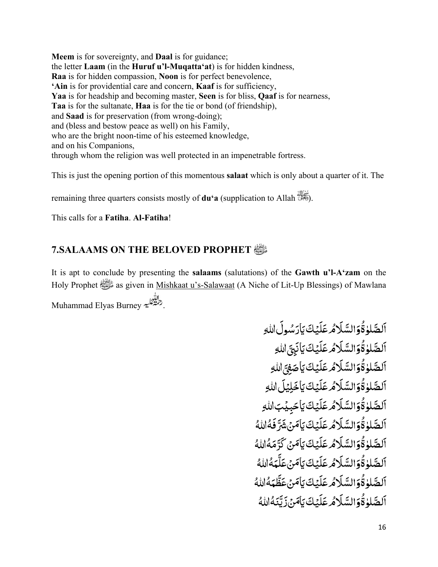**Meem** is for sovereignty, and **Daal** is for guidance; the letter **Laam** (in the **Huruf u'l-Muqatta'at**) is for hidden kindness, **Raa** is for hidden compassion, **Noon** is for perfect benevolence, **'Ain** is for providential care and concern, **Kaaf** is for sufficiency, **Yaa** is for headship and becoming master, **Seen** is for bliss, **Qaaf** is for nearness, **Taa** is for the sultanate, **Haa** is for the tie or bond (of friendship), and **Saad** is for preservation (from wrong-doing); and (bless and bestow peace as well) on his Family, who are the bright noon-time of his esteemed knowledge, and on his Companions, through whom the religion was well protected in an impenetrable fortress.

This is just the opening portion of this momentous **salaat** which is only about a quarter of it. The

remaining three quarters consists mostly of **du'a** (supplication to Allah  $\mathbb{S}$ ).

This calls for a **Fatiha**. **Al-Fatiha**!

## **7.SALAAMS ON THE BELOVED PROPHET** صلى الله عليه وسلم

It is apt to conclude by presenting the **salaams** (salutations) of the **Gawth u'l-A'zam** on the Holy Prophet صلى as given in Mishkaat u's-Salawaat (A Niche of Lit-Up Blessings) of Mawlana Muhammad Elyas Burney

> **َ** اَلصَّلوٰةُوَالسَّلَاْمُ عَلَيۡكَ يَاٰرَسُولَاللهِ **∶ ृ** َ ؚ<br>ا **ृ** َ֧֧֧֦֧֧֦֧ׅ֧֦֧ׅ֧֦֧ׅ֧֦֧֝֟֟֓֝֟֜֓֝֟֜֓֜֓֜֓֜֓<br>֧֪֝֝ ؚ<br>ۣ **ُ** ֧֧֦֧֦֧֦֧֦֧ׅ֧֦֧ׅ֧ׅ֧ׅ֧֚֚֝֝֜֓֓֜֓֜֓֜֓֝֬<br>֧֧֖֖֖֧֧֧֧ׅ֧֚֚֚֚֚֚֚֚֚֚֚֚֚֚֚֚֚֚֚֚֚֚֚֚֚֚֚֝֝֝֝֬֝֬ **ृ** ِّ ِ **ُ** اَلصَّلٰوٰ قُوَالسَّلَامُ عَلَيْكَ يَأْنَبِيَّ اللهِ ֧֧֖֖֖֚֚֚֚֚֝֟֓֓֝֬<br>֧֖֖֖֖֖֖֖֖֖֖֖֖֚֚֚֚֚֚֚֚֚֚֚֚֚֜֜֜֜֜֜֜֜֝֬<br>֧֝ **ृ ∶ ृ** َ ؚ<br>ا **ृ** َ֧֖֖֚֚֝֟֝֟֓֝֟֓<br>֧֖֖֧֧֖֧֧֧֧֧֧֧֧֧֧֚֚֚֚֚֚֚֚֚֚֚֚֚֚֚֚֚֚֚֚֚֚֝֝֝֝֬֝֓֝֬֝֓֝֬֝֬֝֬֝֬֝֬֝֬֝֬֝֬֝֬֝ ∫<br>∫ **ُ** ֧֖֧֦֧ׅ֧֧֧ׅ֧֦֧ׅ֧ׅ֧ׅ֧֧֧ׅ֧֧ׅ֧֧ׅ֧֧֧֚֚֚֚֚֚֚֚֚֚֚֚֝֝֓֜֓֓֝֬֓֜֓֓֜֓֓֜֓֓֜֓֜֜֜֓֝֬֜֓֝֬֜֓֝֬֝֬ اَلصَّلٰوٰقُوَالسَّلَامُ عَلَيۡكَ يَاْصَٰفِىَّ اللهِ ّ َ **∶ ृ** َ ؚ<br>ا **ृ** َ֧֧֧֦֧֧֦֧ׅ֧֦֧ׅ֧֦֧ׅ֧֦֧֝֟֟֓֝֟֜֓֝֟֜֓֜֓֜֓֜֓<br>֧֪֝֝ ؚ<br>ۣ **ُ** ֧֧֦֧֦֧֦֧֦֧ׅ֧֦֧ׅ֧ׅ֧ׅ֧֚֚֝֝֜֓֓֜֓֜֓֜֓֝֬<br>֧֧֖֖֖֧֧֧֧ׅ֧֚֚֚֚֚֚֚֚֚֚֚֚֚֚֚֚֚֚֚֚֚֚֚֚֚֚֚֝֝֝֝֬֝֬ َ اَلصَّلٰوٰ قُوَالسَّلَاْمُ عَلَيۡكَ يَاخَلِيۡلَ اللهِ **∶ ृ** َ ؚ<br>ا **ृ** َ֧֖֖֚֚֝֟֝֟֓֝֟֓<br>֧֖֖֧֧֖֧֧֧֧֧֧֧֧֧֧֚֚֚֚֚֚֚֚֚֚֚֚֚֚֚֚֚֚֚֚֚֚֝֝֝֝֬֝֓֝֬֝֓֝֬֝֬֝֬֝֬֝֬֝֬֝֬֝֬֝֬֝ ∫<br>∫ **ُ** ֧֖֧֧ׅ֧֧֧֦֧ׅ֧֧ׅ֧֧֧֧ׅ֧֧ׅ֧֧֧֧֧֧֚֚֚֚֚֚֚֚֚֚֚֚֚֚֚֝֝֓֝֓֝֬֓֓֝֬֝֓֜֓֓֝֬֜֓֓֝֬֜֝֬֜֓֝֬֜֓֝֬֜֝֬֝֬֜ **ृ** ٱلصَّلٰوٰةُوَالسَّلَاْمُ عَلَيۡكَ يَاْحَبِيۡبَاللّٰهِ **∶ ृ** َ ؚ<br>ا **ृ** َ֧֧֧֦֧֧֦֧ׅ֧֦֧ׅ֧֦֧ׅ֧֦֧֝֟֟֓֝֟֜֓֝֟֜֓֜֓֜֓֜֓<br>֧֪֝֝ ؚ<br>ۣ **ُ** ֧֖֧֧ׅ֧֧֧֦֧ׅ֧֧ׅ֧֧֧֧ׅ֧֧ׅ֧֧֧֧֧֧֚֚֚֚֚֚֚֚֚֚֚֚֚֚֚֝֝֓֝֓֝֬֓֓֝֬֝֓֜֓֓֝֬֜֓֓֝֬֜֝֬֜֓֝֬֜֓֝֬֜֝֬֝֬֜ اَلصَّلٰوٰقُوَالسَّلَاْمُ عَلَيۡكَ يَاٰ مَنۡ شَرَّفَهُۢاللّٰهُ َ َ **∶ ृ** َ ؚ<br>ا **ृ** َ֧֧֦֦֧֦֧֦֧֦֧֦֧֧֦֧ׅ֧֧֦֧ׅ֧֦֧֝֟֓֝֓֓֜֓֜֓֓֜֓<br>֧ׅ֖֧֖֖֖֖֖֖֧֧ׅ֧֧֚֚֚֚֚֚֚֚֚֚֚֚֚֚֚֚֚֚֜֝֝֟֓֜֓֝֬ ∫<br>∫ **ُ** ֧֖֧֧ׅ֧֧֧֦֧ׅ֧֧ׅ֧֧֧֧ׅ֧֧ׅ֧֧֧֧֧֧֚֚֚֚֚֚֚֚֚֚֚֚֚֚֚֝֝֓֝֓֝֬֓֓֝֬֝֓֜֓֓֝֬֜֓֓֝֬֜֝֬֜֓֝֬֜֓֝֬֜֝֬֝֬֜ ُ اَلصَّلٰوٰقُوَالسَّلَامُ عَلَيۡكَ يَأْمَنۡ كَرَّمَهُۚاللّٰهُ ا<br>ا ֧֧֧֧֝֟֓֓֟֓֓֓<u>֓</u>֓֟֜ َ َ **ृ** َ ؚ<br>ا **ृ** َ֧֧֦֧֦֧֦֧֦֧ׅ֧֦֧ׅ֧֦֧ׅ֧ׅ֧֦֧֝֟֓֝֜֓֜֓֜֓֜֓<br>֧֧֖֖֖֖֖֖֧֧֧ׅ֧ׅ֧֚֚֚֚֚֚֚֚֚֚֚֚֚֚֚֚֚֚֚֚֚֚֝֝֝֓֜ ؚ<br>ۣ **ُ** ֧֧ׅ֧֧֧ׅ֧֦֧ׅ֧ׅ֧֧ׅ֧֧֧֧ׅ֧֧ׅ֧֧֧֧֧֧֚֚֚֚֚֚֚֚֚֚֚֚֚֚֝֝֓֜֓֓֝֬֓֓֜֓֓֜֓֜֓֓֝֬֜֓֓֜֜֓֝֬֜֓֝֬֜֜ اَلصَّلٰوٰ قُوَالسَّلَا*هُ عَ*لَيۡكَ يَاۡمَنۡ عَلَّـمَهُۚ اللّٰهُ ֖֖֧֧֧֪֧֧֚֚֚֚֚֚֚֚֚֚֚֚֚֚֚֚֚֚֚֚֚֚֚֚֚֚֚֚֚֝֝֟֓֡֓֓֝֟֓֓֝֟֓֓֞֟֓֓֝֬֓ ֧֧֧֧֧֧֧֝֟֟֓֟֓֟֓֟֓֟֓֟֓֝֓֟֓֟֓֟֟֓<del>֛</del> َ **∶ ृ** َ ؚ<br>ا **ृ** َ֧֖֖֚֚֝֟֝֟֓֝֟֓<br>֧֖֖֧֧֖֧֧֧֧֧֧֧֧֧֧֚֚֚֚֚֚֚֚֚֚֚֚֚֚֚֚֚֚֚֚֚֚֝֝֝֝֬֝֓֝֬֝֓֝֬֝֬֝֬֝֬֝֬֝֬֝֬֝֬֝֬֝ ∫<br>∫ **ُ** ֧֖֧֦֧ׅ֧֧֧ׅ֧֦֧ׅ֧ׅ֧ׅ֧֧֧ׅ֧֧ׅ֧֧ׅ֧֧֧֚֚֚֚֚֚֚֚֚֚֚֚֝֝֓֜֓֓֝֬֓֜֓֓֜֓֓֜֓֓֜֓֜֜֜֓֝֬֜֓֝֬֜֓֝֬֝֬ ُ اَلصَّلٰوٰ ةُوَالسَّلَامُ عَلَيۡكَ يَأْمَنۡ عَظَّمَهُۚاللّٰهُ َ ֧֧֦֧֦֧֦֧֦֧ׅ֧֦֧֧ׅ֧֦֧ׅ֧֦֧ׅ֧֦֧ׅ֧֧֧ׅ֧֧֝֟֟֓֜֓֜֜֓֜֓֜֓֜֓֜֜֜֓֜<br>֧֪֧֪֪֧֖֖֧֧֧֧ׅ֧֧֚֚֚֚֚֚֚֚֚֚֝֝֝֝֬֝֝֬֜֓֝֬ **∶ ृ** َ ؚ<br>ا **ृ** َ֧֧֧֦֧֧֦֧ׅ֧֦֧ׅ֧֦֧ׅ֧֦֧֝֟֟֓֝֟֜֓֝֟֜֓֜֓֜֓֜֓<br>֧֪֝֝ ؚ<br>ۣ **ُ** ֧֧֦֧֦֧֦֧֦֧ׅ֧֦֧ׅ֧ׅ֧ׅ֧֚֚֝֝֜֓֓֜֓֜֓֜֓֝֬<br>֧֧֖֖֖֧֧֧֧ׅ֧֚֚֚֚֚֚֚֚֚֚֚֚֚֚֚֚֚֚֚֚֚֚֚֚֚֚֚֝֝֝֝֬֝֬ اَلصَّلٰوٰقُوَالسَّلَامُ عَلَيۡكَ يَأْمَنۡۚ زَيَّنَهُۢاللّٰهُ َ ֧֧֧֧֧֧֦֧֧֧֧֝֟֟֓֝֟֟֟֓֝֟֟֓֜֜֟֓֟֓֟֟֓֟֟֟֓֟֟֟֟֓<br>֧ׅ֧֜֜֜ **ا ∶ ृ** َ ؚ<br>ا **ृ** َ֧֖֖֚֚֝֟֝֟֓֝֟֓<br>֧֖֖֧֧֖֧֧֧֧֧֧֧֧֧֧֚֚֚֚֚֚֚֚֚֚֚֚֚֚֚֚֚֚֚֚֚֚֝֝֝֝֬֝֓֝֬֝֓֝֬֝֬֝֬֝֬֝֬֝֬֝֬֝֬֝֬֝ ∫<br>∫ **ُ** ֧֖֧֦֧ׅ֧֧֧ׅ֧֦֧ׅ֧ׅ֧ׅ֧֧֧ׅ֧֧ׅ֧֧ׅ֧֧֧֚֚֚֚֚֚֚֚֚֚֚֚֝֝֓֜֓֓֝֬֓֜֓֓֜֓֓֜֓֓֜֓֜֜֜֓֝֬֜֓֝֬֜֓֝֬֝֬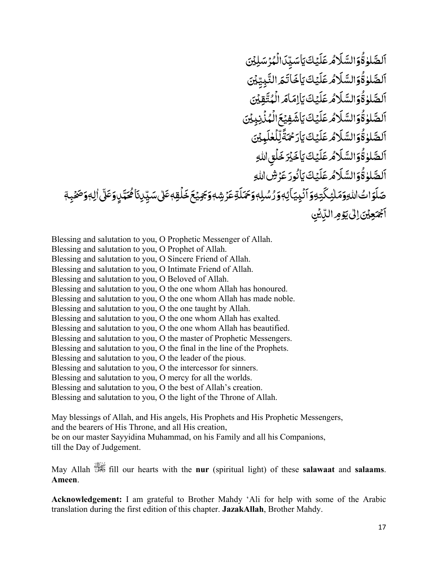ؚ<br>ۣ ٱلصَّلٰوٰةُوَالسَّلَامُ عَلَيْكَيَاسَيِّدَالُمُرْسَلِيْنَ **ُ** ֧֖֧֦֧ׅ֧֧֧ׅ֧֦֧ׅ֧ׅ֧ׅ֧֧֧ׅ֧֧ׅ֧֧ׅ֧֧֧֚֚֚֚֚֚֚֚֚֚֚֚֝֝֓֜֓֓֝֬֓֜֓֓֜֓֓֜֓֓֜֓֜֜֜֓֝֬֜֓֝֬֜֓֝֬֝֬ .<br>ا ؚ<br>ا **∶ ृ** َ ؚ<br>ا **ृ** َ֧֖֖֚֚֝֟֝֟֓֝֟֓<br>֧֖֖֧֧֖֧֧֧֧֧֧֧֧֧֧֚֚֚֚֚֚֚֚֚֚֚֚֚֚֚֚֚֚֚֚֚֚֝֝֝֝֬֝֓֝֬֝֓֝֬֝֬֝֬֝֬֝֬֝֬֝֬֝֬֝֬֝ ؚ<br>ا ؚ<br>ؙ ֦֧֦֧֟֟֓֕<u>֦</u> اَلصَّلٰوٰقُوَالسَّلَاْمُ عَلَيۡكَ يَاۡخَاتَـمَ النَّبِيِّيۡنَ ِ ا<br>ا ֧֧֦֧֦֧֦֧֦֧֦֧֦֧֦֧֧֧ׅ֧֝֟֓֜֜֜֓<u>֚֓</u> َ**∶ ृ** َ ؚ<br>ا **ृ** َ֧֧֧֦֧֧֦֧ׅ֧֦֧ׅ֧֦֧ׅ֧֦֧֝֟֟֓֝֟֜֓֝֟֜֓֜֓֜֓֜֓<br>֧֪֝֝ ُ **ُ** ֧֖֖֧֧֦֧ׅ֧֧ׅ֧֧ׅ֧ׅ֧֧ׅ֧֧ׅ֧֧֧֧֧֧֚֚֚֚֚֚֚֚֚֚֝֝֝֓֕֓֝֓֜֓֓֝֬֜֓֝֬֜֜֓֓֝֬֜֓֓֝֬֜֓֝֬֜֓֝֬֝֬֜֝֬֜ اَلصَّلٰوٰقُوَالسَّلَامُ عَلَيۡكَ يَاٰلِمَاٰهَ الۡمُتَّقِيۡنَ َ ֧֧֦֧֦֧֦֧֦֧֦֧֦֧֦֧֧֦֧֦֧֦֧֦֧֦֧֦֧֦֧֦֧֧֦֧֧֦֧֧֦֧֧֛֛֛֛֛֛֛֪֪֦֧֝֟֓֓֜֓֜֓֜֓֜֓֜֜֜֜֜֜ ؚ<br>֡֟ **َ ∶ ृ** َ ؚ<br>ا **ृ** َ֧֖֖֚֚֝֟֝֟֓֝֟֓<br>֧֖֖֧֧֖֧֧֧֧֧֧֧֧֧֧֚֚֚֚֚֚֚֚֚֚֚֚֚֚֚֚֚֚֚֚֚֚֝֝֝֝֬֝֓֝֬֝֓֝֬֝֬֝֬֝֬֝֬֝֬֝֬֝֬֝֬֝ ∫<br>∫ **ُ** ֧֖֧֧֧֧֧֦֧ׅ֧֧ׅ֧֧֧֧ׅ֧֦֧֧ׅ֧֧֧֧֧֧֚֚֚֚֚֚֚֚֚֚֚֚֚֚֚֚֚֝֝֓֝֓֝֬֝֓֝֓֜֓֓֝֬֜֓֓֝֬֜֜֜֓֜֜֓֝֬֜֝֬֜ ٱلصَّلٰوٰۃُوَالسَّلَامُ عَلَيۡكَ يَأشَفِيۡعَ الۡمُنۡزِبِيۡنَ ِ **:** ֦֧֦֧֟֟֓֝֟֟֟֓֕<u>֓</u> ََ َ **ृ** َ ؚ<br>ا **ृ** َ֧֧֦֧֦֧֦֧֦֧ׅ֧֦֧ׅ֧֦֧ׅ֧ׅ֧֦֧֝֟֓֝֜֓֜֓֜֓֜֓<br>֧֧֖֖֖֖֖֖֧֧֧ׅ֧ׅ֧֚֚֚֚֚֚֚֚֚֚֚֚֚֚֚֚֚֚֚֚֚֚֝֝֝֓֜ ؚ<br>ۣ َ֧֧֦֧֖֖֖֧ׅ֧֧ׅ֧ׅ֧ׅ֧֧ׅ֧֧֧ׅ֧֚֚֚֚֚֚֚֚֚֚֚֝֝֜֓֓֝֓֜֓֓֝֬֜֓֓֜֓֓֜֜֓֜֜֜֓ اَلصَّلٰوٰ قُوَالسَّلَا*مُ عَ*لَيۡكَ يَأْرَحۡمَّةً لِّلۡغُل**َدِيۡنَ ृ** ا<br>ا ֦֧֧֟֟֓֡֓֓<u>֚</u> ֧֖֖֚֚֚֝<br>֧֚֚֚֝ ֖֪֪֪֦֧֧֪ׅ֧֧֧֪֚֚֚֚֚֚֚֚֚֚֚֚֚֚֚֚֚֚֚֚֚֚֚֓֝֝֝֝֝֝֝֬֝֟֝֬֝֓֝֓֝֬֓֓֝֬֓֝֬֝֬֝֬ **∶ ृ** َ ؚ<br>ا **ृ** َ֧֧֦֦֧֦֧֦֧֦֧֦֧֧֦֧ׅ֧֧֦֧ׅ֧֦֧֝֟֓֝֓֓֜֓֜֓֓֜֓<br>֧ׅ֖֧֖֖֖֖֖֖֧֧ׅ֧֧֚֚֚֚֚֚֚֚֚֚֚֚֚֚֚֚֚֚֜֝֝֟֓֜֓֝֬ ∫<br>∫ **ُ** ֧֖֧֧ׅ֧֧֧֦֧ׅ֧֧ׅ֧֧֧֧ׅ֧֧ׅ֧֧֧֧֧֧֚֚֚֚֚֚֚֚֚֚֚֚֚֚֚֝֝֓֝֓֝֬֓֓֝֬֝֓֜֓֓֝֬֜֓֓֝֬֜֝֬֜֓֝֬֜֓֝֬֜֝֬֝֬֜ ٱلصَّلٰوٰةُوَالسَّلَامُ عَلَيۡكَ يَاخَيۡرَخَلَقِ اللهِ ֦֧֦֧֟֟֓֕<u>֓</u> َ َ **ृ** َ ؚ<br>ا **ृ** َ֧֧֦֧֦֧֦֧֦֧ׅ֧֦֧ׅ֧֦֧ׅ֧֦֧ׅ֧֦֧֝֟֓֝֜֓֓֜֓֜֓֜֓<br>֧֪֖֖֖֧֧֧֧֧ׅ֧֚֚֚֚֚֚֚֚֚֚֚֚֚֚֚֚֚֚֚֚֚֚֝֝֓֝֬֝֬֝֬ ؚ<br>ۣ **ُ** ֧֧ׅ֧֧֧ׅ֧֦֧ׅ֧ׅ֧֧ׅ֧֧֧֧ׅ֧֧ׅ֧֧֧֧֧֧֚֚֚֚֚֚֚֚֚֚֚֚֚֚֝֝֓֜֓֓֝֬֓֓֜֓֓֜֓֜֓֓֝֬֜֓֓֜֜֓֝֬֜֓֝֬֜֜ **ُ** ֧֖֧֧ׅ֧֧֧֦֧ׅ֧֧ׅ֧֧֧֧ׅ֧֧ׅ֧֧֧֧֧֧֚֚֚֚֚֚֚֚֚֚֚֚֚֚֚֝֝֓֝֓֝֬֓֓֝֬֝֓֜֓֓֝֬֜֓֓֝֬֜֝֬֜֓֝֬֜֓֝֬֜֝֬֝֬֜ اَلصَّلوٰةُوَالسَّلَاْمُ عَلَيۡكَ يَأْنُورَ عَرۡشَاللّٰهِ َ ِّ بِيَّةٍ بِيَّةٍ بِيَّةٍ بِيَانِيَةٍ بِيَانِيَةٍ بِيَانِيَةٍ بِيَانِيَةٍ بِيَانِيَةٍ بِيَانِيَةٍ بِيَانِيَةٍ **∶ ृ** َ ؚ<br>ا **ृ** َ֧֖֖֚֚֝֟֝֟֓֝֟֓<br>֧֖֖֖֧֖֧֧֧֧֧֧֚֚֚֚֚֚֚֚֚֚֚֚֚֚֚֚֚֚֚֚֚֝֝֝֝֬֝֓֝֬֝֓֝֬֝֓֝֬֝֬֝֬֝֬֝֬֝֬֝֬֝֬֝֬֝֝֬֝ ∫<br>∫ ِّ ِ ڝؘڶٙۅٙٳٮۢٵڷڵ<sub>ٞ</sub>ۊۅٙمٓڵؿؚػؖؾؚۊۅٙٲٮٛٞؠؚۣؾٲؽؚ؋ۅٙۯ۠ۺ۠ڸ؋ۅؘػؠٓڶۊؗڠۯٙۺۣ؋ۅؘؘجٙڝؽۼٙڂٙڶۘڦؚ؋ػٵڸ؇ؘػڰؠ۠ڸۣۅٙڠڵۣٳڵ؋ۅؘڞؿؠؚ؋ٓ ِّ بِ  $\overline{a}$ <u>:</u> **ृ** َ َ ٰ ؚ<br>; المباد<sup>ر</sup> المستقبل المستقبل المستقبل المستقبل المستقبل المستقبل المستقبل المستقبل المستقبل المستقبل المستقبل المستقبل المستقبل المستقبل المستقبل المستقبل المستقبل المستقبل المستقبل المس<br>مستقبل المستقبل المستقبل المستقبل ا **ृ** ََ ֦֧֦֧֟֟֓֕<u>֦</u> َ **ृ** ِٓ ا<br>ا ٓ ٍ ا<br>ا ֧֧֦֧֧֦֧ׅ֧֦֧ׅ֧֦֧ׅ֧֦֧ׅ֧֦֧֧ׅ֧֧֛֧֝֟֓֝֟֓֓֜֓֓֜֓֜֓֜֓֜֜֓֜֜֜֓֜<br>֧֪֧֝ ֝֝֝֝֝֝**֝** ֧֧֦֧֦֧֦֧֦֧֚֝<u>֘</u> **่** ֦֧֧֟֟֓֕<u>֚</u> َ .<br>أَجْمَعِيْنَ إِلَى يَوْمِ الَّذِيْنِ ֧֘֒<u>֓</u> **.** ٰ

Blessing and salutation to you, O Prophetic Messenger of Allah. Blessing and salutation to you, O Prophet of Allah. Blessing and salutation to you, O Sincere Friend of Allah. Blessing and salutation to you, O Intimate Friend of Allah. Blessing and salutation to you, O Beloved of Allah. Blessing and salutation to you, O the one whom Allah has honoured. Blessing and salutation to you, O the one whom Allah has made noble. Blessing and salutation to you, O the one taught by Allah. Blessing and salutation to you, O the one whom Allah has exalted. Blessing and salutation to you, O the one whom Allah has beautified. Blessing and salutation to you, O the master of Prophetic Messengers. Blessing and salutation to you, O the final in the line of the Prophets. Blessing and salutation to you, O the leader of the pious. Blessing and salutation to you, O the intercessor for sinners. Blessing and salutation to you, O mercy for all the worlds. Blessing and salutation to you, O the best of Allah's creation. Blessing and salutation to you, O the light of the Throne of Allah.

May blessings of Allah, and His angels, His Prophets and His Prophetic Messengers, and the bearers of His Throne, and all His creation, be on our master Sayyidina Muhammad, on his Family and all his Companions, till the Day of Judgement.

May Allah fill our hearts with the **nur** (spiritual light) of these **salawaat** and **salaams**. **Ameen**.

**Acknowledgement:** I am grateful to Brother Mahdy 'Ali for help with some of the Arabic translation during the first edition of this chapter. **JazakAllah**, Brother Mahdy.